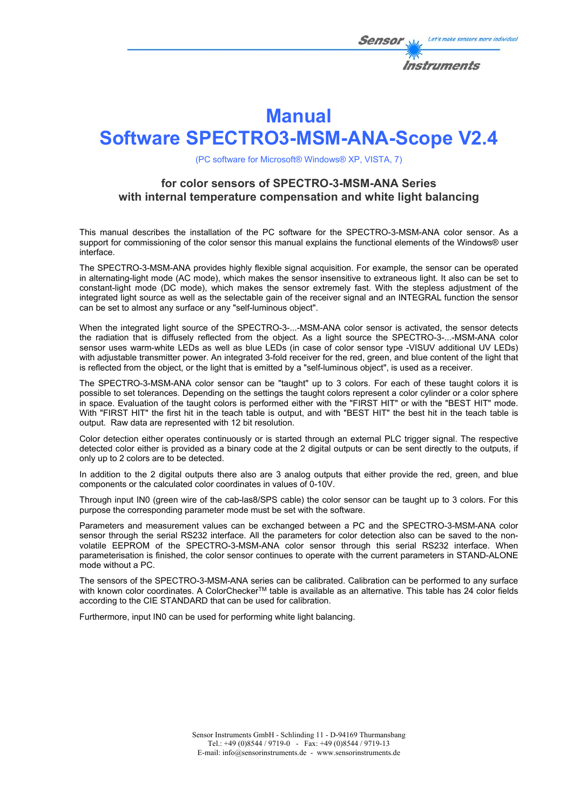

# **Manual**

# **Software SPECTRO3-MSM-ANA-Scope V2.4**

(PC software for Microsoft® Windows® XP, VISTA, 7)

### **for color sensors of SPECTRO-3-MSM-ANA Series with internal temperature compensation and white light balancing**

This manual describes the installation of the PC software for the SPECTRO-3-MSM-ANA color sensor. As a support for commissioning of the color sensor this manual explains the functional elements of the Windows® user interface.

The SPECTRO-3-MSM-ANA provides highly flexible signal acquisition. For example, the sensor can be operated in alternating-light mode (AC mode), which makes the sensor insensitive to extraneous light. It also can be set to constant-light mode (DC mode), which makes the sensor extremely fast. With the stepless adjustment of the integrated light source as well as the selectable gain of the receiver signal and an INTEGRAL function the sensor can be set to almost any surface or any "self-luminous object".

When the integrated light source of the SPECTRO-3-...-MSM-ANA color sensor is activated, the sensor detects the radiation that is diffusely reflected from the object. As a light source the SPECTRO-3-...-MSM-ANA color sensor uses warm-white LEDs as well as blue LEDs (in case of color sensor type -VISUV additional UV LEDs) with adjustable transmitter power. An integrated 3-fold receiver for the red, green, and blue content of the light that is reflected from the object, or the light that is emitted by a "self-luminous object", is used as a receiver.

The SPECTRO-3-MSM-ANA color sensor can be "taught" up to 3 colors. For each of these taught colors it is possible to set tolerances. Depending on the settings the taught colors represent a color cylinder or a color sphere in space. Evaluation of the taught colors is performed either with the "FIRST HIT" or with the "BEST HIT" mode. With "FIRST HIT" the first hit in the teach table is output, and with "BEST HIT" the best hit in the teach table is output. Raw data are represented with 12 bit resolution.

Color detection either operates continuously or is started through an external PLC trigger signal. The respective detected color either is provided as a binary code at the 2 digital outputs or can be sent directly to the outputs, if only up to 2 colors are to be detected.

In addition to the 2 digital outputs there also are 3 analog outputs that either provide the red, green, and blue components or the calculated color coordinates in values of 0-10V.

Through input IN0 (green wire of the cab-las8/SPS cable) the color sensor can be taught up to 3 colors. For this purpose the corresponding parameter mode must be set with the software.

Parameters and measurement values can be exchanged between a PC and the SPECTRO-3-MSM-ANA color sensor through the serial RS232 interface. All the parameters for color detection also can be saved to the nonvolatile EEPROM of the SPECTRO-3-MSM-ANA color sensor through this serial RS232 interface. When parameterisation is finished, the color sensor continues to operate with the current parameters in STAND-ALONE mode without a PC.

The sensors of the SPECTRO-3-MSM-ANA series can be calibrated. Calibration can be performed to any surface with known color coordinates. A ColorChecker™ table is available as an alternative. This table has 24 color fields according to the CIE STANDARD that can be used for calibration.

Furthermore, input IN0 can be used for performing white light balancing.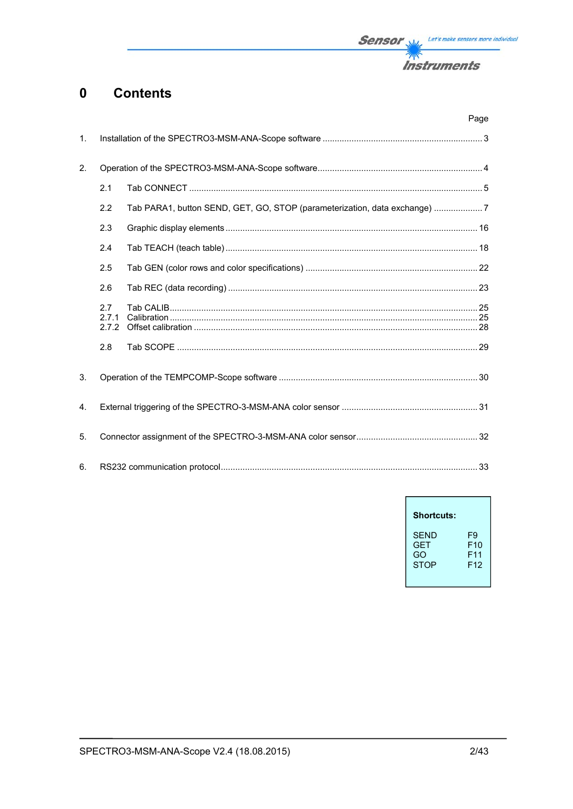

#### **Contents**  $\mathbf 0$

|                |                       |                                                                           | Page |
|----------------|-----------------------|---------------------------------------------------------------------------|------|
| $\mathbf{1}$ . |                       |                                                                           |      |
| 2.             |                       |                                                                           |      |
|                | 2.1                   |                                                                           |      |
|                | 2.2                   | Tab PARA1, button SEND, GET, GO, STOP (parameterization, data exchange) 7 |      |
|                | 2.3                   |                                                                           |      |
|                | 2.4                   |                                                                           |      |
|                | 2.5                   |                                                                           |      |
|                | 2.6                   |                                                                           |      |
|                | 2.7<br>2.7.1<br>2.7.2 |                                                                           |      |
|                | 2.8                   |                                                                           |      |
| 3.             |                       |                                                                           |      |
| 4.             |                       |                                                                           |      |
| 5.             |                       |                                                                           |      |
| 6.             |                       |                                                                           |      |

| <b>Shortcuts:</b> |                 |
|-------------------|-----------------|
| <b>SFND</b>       | F9              |
| <b>GFT</b>        | F10             |
| GO                | F <sub>11</sub> |
| <b>STOP</b>       | F <sub>12</sub> |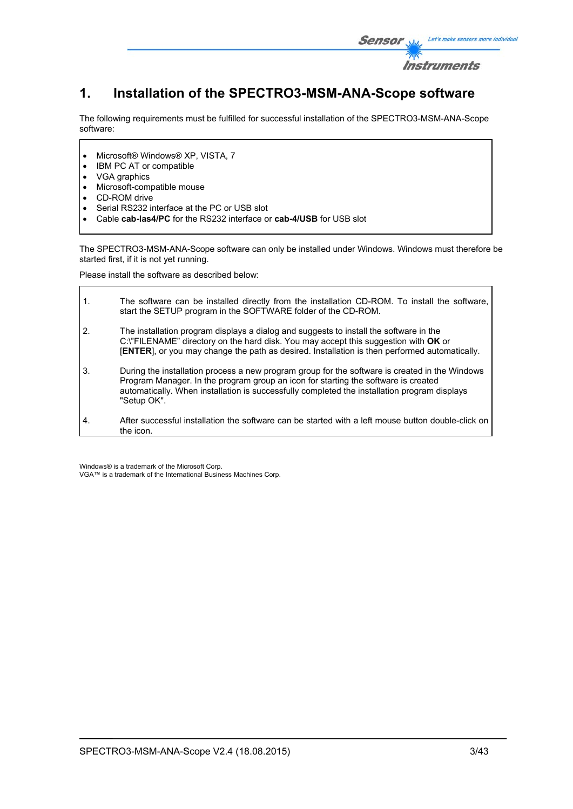

# **1. Installation of the SPECTRO3-MSM-ANA-Scope software**

The following requirements must be fulfilled for successful installation of the SPECTRO3-MSM-ANA-Scope software:

- Microsoft® Windows® XP, VISTA, 7
- IBM PC AT or compatible
- VGA graphics
- Microsoft-compatible mouse
- CD-ROM drive
- Serial RS232 interface at the PC or USB slot
- Cable **cab-las4/PC** for the RS232 interface or **cab-4/USB** for USB slot

The SPECTRO3-MSM-ANA-Scope software can only be installed under Windows. Windows must therefore be started first, if it is not yet running.

Please install the software as described below:

| $\mathbf{1}$ . | The software can be installed directly from the installation CD-ROM. To install the software,<br>start the SETUP program in the SOFTWARE folder of the CD-ROM.                                                                                                                                      |
|----------------|-----------------------------------------------------------------------------------------------------------------------------------------------------------------------------------------------------------------------------------------------------------------------------------------------------|
| 2.             | The installation program displays a dialog and suggests to install the software in the<br>C:\"FILENAME" directory on the hard disk. You may accept this suggestion with OK or<br>[ENTER], or you may change the path as desired. Installation is then performed automatically.                      |
| 3.             | During the installation process a new program group for the software is created in the Windows<br>Program Manager. In the program group an icon for starting the software is created<br>automatically. When installation is successfully completed the installation program displays<br>"Setup OK". |
| 4.             | After successful installation the software can be started with a left mouse button double-click on<br>the icon.                                                                                                                                                                                     |

Windows® is a trademark of the Microsoft Corp. VGA™ is a trademark of the International Business Machines Corp.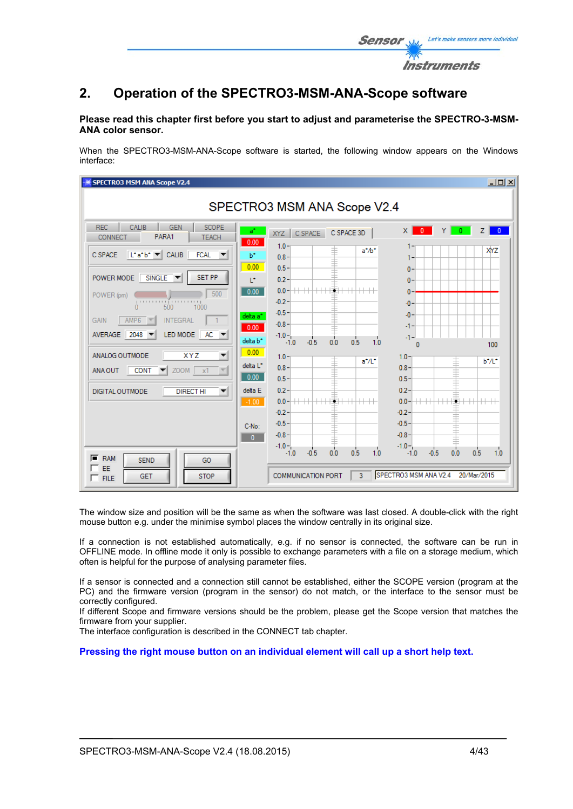

#### **Please read this chapter first before you start to adjust and parameterise the SPECTRO-3-MSM-ANA color sensor.**

When the SPECTRO3-MSM-ANA-Scope software is started, the following window appears on the Windows interface:

| <b>SPECTRO3 MSM ANA Scope V2.4</b>                                                                                                                                                                                                                                                                                                                                                                                                                                                                                                                                                             |                                                                                                                                                                                                                                                                                                                                                                                                                                                                                                                                                                                                                                                                                                                                                                                                                                                                                             | $\Box$                                             |
|------------------------------------------------------------------------------------------------------------------------------------------------------------------------------------------------------------------------------------------------------------------------------------------------------------------------------------------------------------------------------------------------------------------------------------------------------------------------------------------------------------------------------------------------------------------------------------------------|---------------------------------------------------------------------------------------------------------------------------------------------------------------------------------------------------------------------------------------------------------------------------------------------------------------------------------------------------------------------------------------------------------------------------------------------------------------------------------------------------------------------------------------------------------------------------------------------------------------------------------------------------------------------------------------------------------------------------------------------------------------------------------------------------------------------------------------------------------------------------------------------|----------------------------------------------------|
|                                                                                                                                                                                                                                                                                                                                                                                                                                                                                                                                                                                                | SPECTRO3 MSM ANA Scope V2.4                                                                                                                                                                                                                                                                                                                                                                                                                                                                                                                                                                                                                                                                                                                                                                                                                                                                 |                                                    |
| <b>REC</b><br>CALIB<br><b>GEN</b><br><b>SCOPE</b><br>PARA1<br><b>CONNECT</b><br><b>TEACH</b><br>$\begin{vmatrix} \mathbf{L}^* \mathbf{a}^* \mathbf{b}^* \end{vmatrix}$ CALIB<br><b>FCAL</b><br>C SPACE<br><b>SET PP</b><br>$SINGLE$ $\blacktriangledown$<br>POWER MODE<br>500<br>POWER (pm)<br>ր ուսուս միստուակ<br>500<br>1000<br>AMP <sub>6</sub><br><b>INTEGRAL</b><br><b>GAIN</b><br>2048<br>LED MODE<br>$AC =$<br><b>AVERAGE</b><br>ANALOG OUTMODE<br><b>XYZ</b><br>▼<br>$ZOOM$ $x1$<br><b>CONT</b><br>ANA OUT<br>$\vert \nabla \vert$<br><b>DIGITAL OUTMODE</b><br><b>DIRECT HI</b><br>▼ | $a^*$<br>$\times$<br>$\overline{0}$<br>$\overline{0}$<br>ΥI<br>C SPACE 3D<br>C SPACE<br>XYZ<br>0.00<br>$1.0 -$<br>$a^* / b^*$<br>b*<br>$0.8 -$<br>1-<br>0.00<br>$0.5 -$<br>$\mathbf{0}$<br>$0.2 -$<br>T.<br>$\mathbf{0}$<br>$+++$<br>$0.0 -$<br>0.00<br>$\mathbf{0}$<br>$-0.2 -$<br>$-0$<br>$-0.5 -$<br>$-0$<br>delta a <sup>*</sup><br>$-0.8 -$<br>-1-<br>0.00<br>$-1.0 -$<br>$-1 -$<br>0.0<br>1.0<br>0.5<br>delta b <sup>*</sup><br>$-0.5$<br>$-1.0$<br>$\sqrt{2}$<br>0.00<br>$1.0 -$<br>$1.0 -$<br>≢<br>$a^*/L^*$<br>delta L*<br>$0.8 -$<br>$0.8 -$<br>0.00<br>$0.5 -$<br>$0.5 -$<br>$0.2 -$<br>delta E<br>$0.2 -$<br>$+\!+\!-\!$<br>$0.0 -$<br>$0.0 -$<br>$-1.00$<br>$-0.2 -$<br>$-0.2 -$<br>$-0.5 -$<br>$-0.5 -$<br>$C-N0$ :<br>$-0.8 -$<br>$-0.8 -$<br>$\overline{0}$<br>$-1.0 -$<br>$-1.0 -$<br>$\overline{0.0}$<br>0.5<br>0.0<br>$-0.5$<br>1.0<br>$-0.5$<br>0.5<br>$-1.0$<br>$-1.0$ | Z.<br>$\overline{0}$<br>XYZ<br>100<br>b*/L*<br>1.0 |
| $F$ RAM<br><b>SEND</b><br>GO<br>┍<br>EE<br><b>STOP</b><br><b>GET</b><br>$\Gamma$ FILE                                                                                                                                                                                                                                                                                                                                                                                                                                                                                                          | SPECTRO3 MSM ANA V2.4<br>20/Mar/2015<br>$\overline{3}$<br><b>COMMUNICATION PORT</b>                                                                                                                                                                                                                                                                                                                                                                                                                                                                                                                                                                                                                                                                                                                                                                                                         |                                                    |

The window size and position will be the same as when the software was last closed. A double-click with the right mouse button e.g. under the minimise symbol places the window centrally in its original size.

If a connection is not established automatically, e.g. if no sensor is connected, the software can be run in OFFLINE mode. In offline mode it only is possible to exchange parameters with a file on a storage medium, which often is helpful for the purpose of analysing parameter files.

If a sensor is connected and a connection still cannot be established, either the SCOPE version (program at the PC) and the firmware version (program in the sensor) do not match, or the interface to the sensor must be correctly configured.

If different Scope and firmware versions should be the problem, please get the Scope version that matches the firmware from your supplier.

The interface configuration is described in the CONNECT tab chapter.

**Pressing the right mouse button on an individual element will call up a short help text.** 

Let's make sensors more individual

Instruments

Senso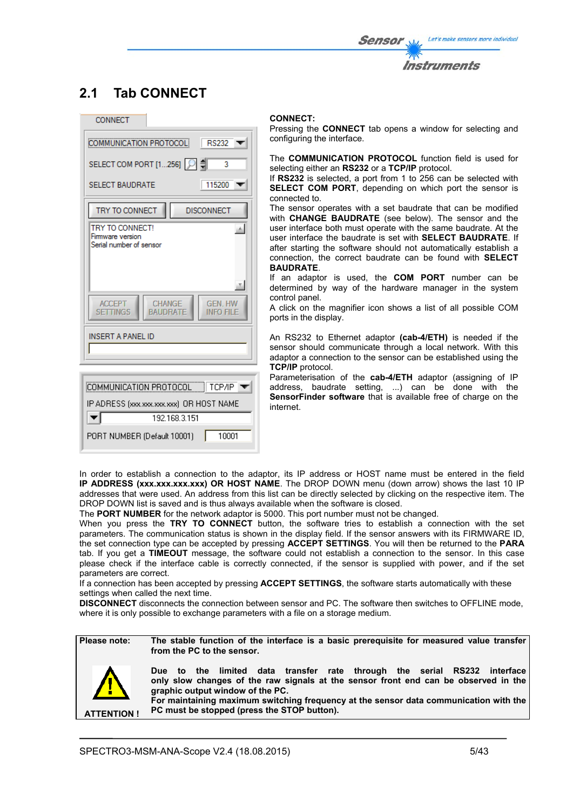# **2.1 Tab CONNECT**



#### **CONNECT:**

Pressing the **CONNECT** tab opens a window for selecting and configuring the interface.

The **COMMUNICATION PROTOCOL** function field is used for selecting either an **RS232** or a **TCP/IP** protocol.

If **RS232** is selected, a port from 1 to 256 can be selected with **SELECT COM PORT**, depending on which port the sensor is connected to.

The sensor operates with a set baudrate that can be modified with **CHANGE BAUDRATE** (see below). The sensor and the user interface both must operate with the same baudrate. At the user interface the baudrate is set with **SELECT BAUDRATE**. If after starting the software should not automatically establish a connection, the correct baudrate can be found with **SELECT BAUDRATE**.

If an adaptor is used, the **COM PORT** number can be determined by way of the hardware manager in the system control panel.

A click on the magnifier icon shows a list of all possible COM ports in the display.

An RS232 to Ethernet adaptor **(cab-4/ETH)** is needed if the sensor should communicate through a local network. With this adaptor a connection to the sensor can be established using the **TCP/IP** protocol.

Parameterisation of the **cab-4/ETH** adaptor (assigning of IP address, baudrate setting, ...) can be done with the **SensorFinder software** that is available free of charge on the internet.

In order to establish a connection to the adaptor, its IP address or HOST name must be entered in the field **IP ADDRESS (xxx.xxx.xxx.xxx) OR HOST NAME**. The DROP DOWN menu (down arrow) shows the last 10 IP addresses that were used. An address from this list can be directly selected by clicking on the respective item. The DROP DOWN list is saved and is thus always available when the software is closed.

The **PORT NUMBER** for the network adaptor is 5000. This port number must not be changed.

When you press the **TRY TO CONNECT** button, the software tries to establish a connection with the set parameters. The communication status is shown in the display field. If the sensor answers with its FIRMWARE ID, the set connection type can be accepted by pressing **ACCEPT SETTINGS**. You will then be returned to the **PARA** tab. If you get a **TIMEOUT** message, the software could not establish a connection to the sensor. In this case please check if the interface cable is correctly connected, if the sensor is supplied with power, and if the set parameters are correct.

If a connection has been accepted by pressing **ACCEPT SETTINGS**, the software starts automatically with these settings when called the next time.

**DISCONNECT** disconnects the connection between sensor and PC. The software then switches to OFFLINE mode, where it is only possible to exchange parameters with a file on a storage medium.

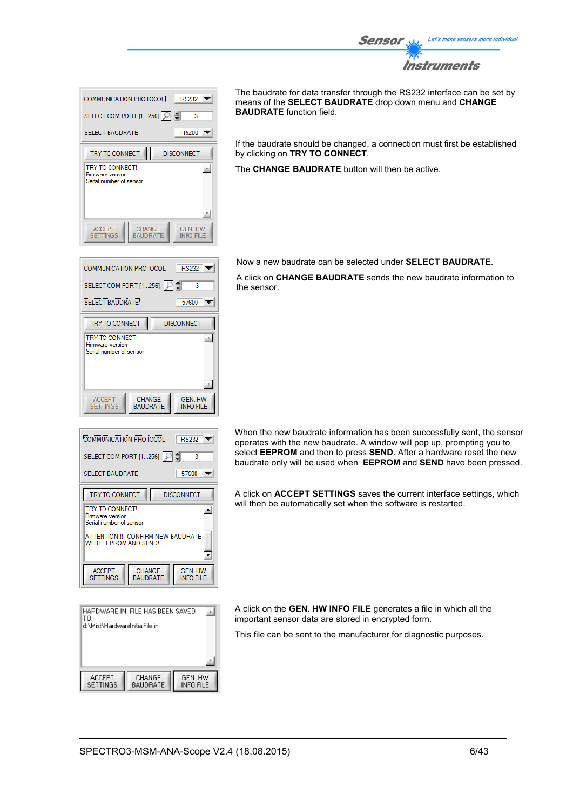

| <b>RS232</b><br>COMMUNICATION PROTOCOL                                                                |  |  |
|-------------------------------------------------------------------------------------------------------|--|--|
| SELECT COM PORT [1256]   이 예<br>3<br>115200<br><b>SELECT BAUDRATE</b>                                 |  |  |
| TRY TO CONNECT<br><b>DISCONNECT</b><br>TRY TO CONNECT!<br>Firmware version<br>Serial number of sensor |  |  |
| <b>CHANGE</b><br><b>GEN HW</b><br><b>ACCEPT</b><br><b>SETTINGS</b><br><b>BAUDRATE</b><br>INFO FILE    |  |  |

**RS232**  $\overline{\phantom{a}}$ 

> 57600  $\overline{\mathbf{v}}$

**GEN. HW** 

**INFO FILE** 

**DISCONNECT** 

3 ₿

스

COMMUNICATION PROTOCOL

**SELECT BAUDRATE** 

TRY TO CONNECT

**TRY TO CONNECT!** 

**ACCEPT** 

**SETTINGS** 

Firm the derivided:<br>Firmware version<br>Serial number of sensor

SELECT COM PORT [1...256]

The baudrate for data transfer through the RS232 interface can be set by means of the **SELECT BAUDRATE** drop down menu and **CHANGE BAUDRATE** function field.

If the baudrate should be changed, a connection must first be established by clicking on **TRY TO CONNECT**.

The **CHANGE BAUDRATE** button will then be active.

Now a new baudrate can be selected under **SELECT BAUDRATE**.

A click on **CHANGE BAUDRATE** sends the new baudrate information to the sensor.

| <b>COMMUNICATION PROTOCOL</b><br><b>RS232</b>                                                |  |   |  |
|----------------------------------------------------------------------------------------------|--|---|--|
| SELECT COM PORT [1256]                                                                       |  | 3 |  |
| 57600<br><b>SELECT BAUDRATE</b>                                                              |  |   |  |
| TRY TO CONNECT<br><b>DISCONNECT</b>                                                          |  |   |  |
| TRY TO CONNECT!<br>Firmware version<br>Serial number of sensor                               |  |   |  |
| ATTENTION !!! CONFIRM NEW BAUDRATE<br>WITH FFPROM AND SEND!                                  |  |   |  |
| <b>GEN. HW</b><br><b>ACCEPT</b><br>CHANGE<br><b>SETTINGS</b><br>BAUDRATE<br><b>INFO FILE</b> |  |   |  |

CHANGE<br>BAUDRATE

| HARDWARE INI FILE HAS BEEN SAVED<br>TO: |                           |                      |  |  |
|-----------------------------------------|---------------------------|----------------------|--|--|
| d:\Mist\HardwareInitialFile.ini         |                           |                      |  |  |
|                                         |                           |                      |  |  |
|                                         |                           |                      |  |  |
|                                         |                           |                      |  |  |
| <b>ACCEPT</b><br>SETTINGS               | CHANGE<br><b>BAUDRATE</b> | GEN. HW<br>INFO FILE |  |  |

When the new baudrate information has been successfully sent, the sensor operates with the new baudrate. A window will pop up, prompting you to select **EEPROM** and then to press **SEND**. After a hardware reset the new baudrate only will be used when **EEPROM** and **SEND** have been pressed.

A click on **ACCEPT SETTINGS** saves the current interface settings, which will then be automatically set when the software is restarted.

A click on the **GEN. HW INFO FILE** generates a file in which all the important sensor data are stored in encrypted form.

This file can be sent to the manufacturer for diagnostic purposes.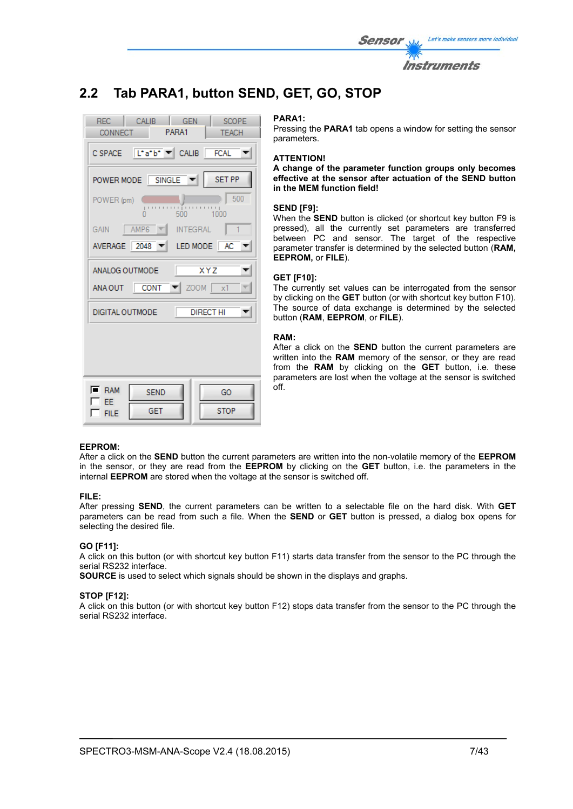| <i>Sensor</i> | Let's make sensors more individual |
|---------------|------------------------------------|
|               | <i><b>Instruments</b></i>          |

# **2.2 Tab PARA1, button SEND, GET, GO, STOP**

| REC CALIB GEN<br>SCOPE<br>CONNECT PARA1<br><b>TEACH</b>                                  |
|------------------------------------------------------------------------------------------|
| CSPACE L'a'b' V CALIB FCAL V                                                             |
| POWER MODE SINGLE V<br>SET PP                                                            |
| h   500<br>POWER (pm)<br>o o processo<br>500 1000<br>n                                   |
| GAIN AMP6 T INTEGRAL<br>$\perp$ 1                                                        |
| AVERAGE $\boxed{2048}$ $\blacktriangleright$ LED MODE $\boxed{AC}$ $\blacktriangleright$ |
| ANALOG OUTMODE<br><b>XYZ</b>                                                             |
| ANA OUT CONT $\blacktriangledown$ ZOOM $\boxed{x1}$                                      |
| <b>DIRECT HI</b><br>DIGITAL OUTMODE                                                      |
|                                                                                          |
| $\overline{\blacksquare}$ RAM<br>GO.<br><b>SEND</b>                                      |
| EE<br><b>STOP</b><br><b>GET</b>                                                          |
| <b>FILE</b>                                                                              |

#### **PARA1:**

Pressing the **PARA1** tab opens a window for setting the sensor parameters.

#### **ATTENTION!**

**A change of the parameter function groups only becomes effective at the sensor after actuation of the SEND button in the MEM function field!** 

#### **SEND [F9]:**

When the **SEND** button is clicked (or shortcut key button F9 is pressed), all the currently set parameters are transferred between PC and sensor. The target of the respective parameter transfer is determined by the selected button (**RAM, EEPROM,** or **FILE**).

#### **GET [F10]:**

The currently set values can be interrogated from the sensor by clicking on the **GET** button (or with shortcut key button F10). The source of data exchange is determined by the selected button (**RAM**, **EEPROM**, or **FILE**).

#### **RAM:**

After a click on the **SEND** button the current parameters are written into the **RAM** memory of the sensor, or they are read from the **RAM** by clicking on the **GET** button, i.e. these parameters are lost when the voltage at the sensor is switched off.

#### **EEPROM:**

After a click on the **SEND** button the current parameters are written into the non-volatile memory of the **EEPROM** in the sensor, or they are read from the **EEPROM** by clicking on the **GET** button, i.e. the parameters in the internal **EEPROM** are stored when the voltage at the sensor is switched off.

#### **FILE:**

After pressing **SEND**, the current parameters can be written to a selectable file on the hard disk. With **GET** parameters can be read from such a file. When the **SEND** or **GET** button is pressed, a dialog box opens for selecting the desired file.

#### **GO [F11]:**

A click on this button (or with shortcut key button F11) starts data transfer from the sensor to the PC through the serial RS232 interface.

**SOURCE** is used to select which signals should be shown in the displays and graphs.

#### **STOP [F12]:**

A click on this button (or with shortcut key button F12) stops data transfer from the sensor to the PC through the serial RS232 interface.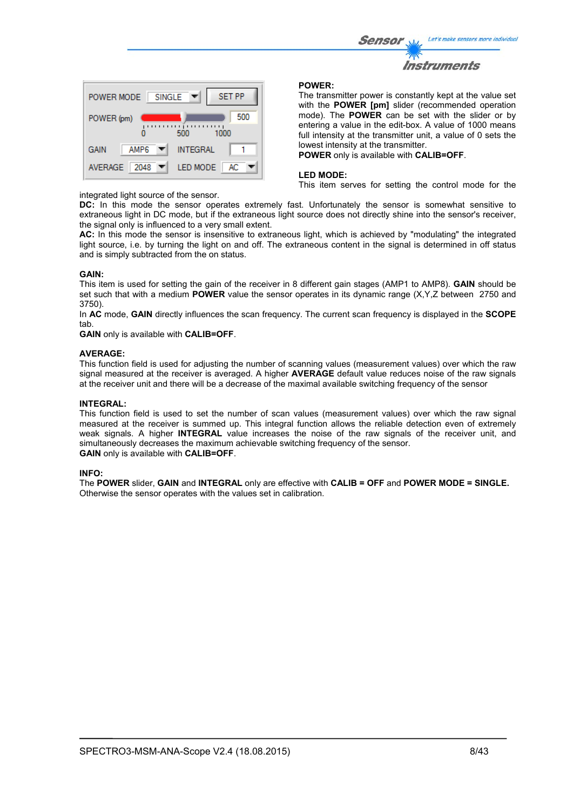



#### integrated light source of the sensor.

#### **POWER:**

The transmitter power is constantly kept at the value set with the **POWER [pm]** slider (recommended operation mode). The **POWER** can be set with the slider or by entering a value in the edit-box. A value of 1000 means full intensity at the transmitter unit, a value of 0 sets the lowest intensity at the transmitter.

**POWER** only is available with **CALIB=OFF**.

#### **LED MODE:**

This item serves for setting the control mode for the

**DC:** In this mode the sensor operates extremely fast. Unfortunately the sensor is somewhat sensitive to extraneous light in DC mode, but if the extraneous light source does not directly shine into the sensor's receiver, the signal only is influenced to a very small extent.

**AC:** In this mode the sensor is insensitive to extraneous light, which is achieved by "modulating" the integrated light source, i.e. by turning the light on and off. The extraneous content in the signal is determined in off status and is simply subtracted from the on status.

#### **GAIN:**

This item is used for setting the gain of the receiver in 8 different gain stages (AMP1 to AMP8). **GAIN** should be set such that with a medium **POWER** value the sensor operates in its dynamic range (X,Y,Z between 2750 and 3750).

In **AC** mode, **GAIN** directly influences the scan frequency. The current scan frequency is displayed in the **SCOPE** tab.

**GAIN** only is available with **CALIB=OFF**.

#### **AVERAGE:**

This function field is used for adjusting the number of scanning values (measurement values) over which the raw signal measured at the receiver is averaged. A higher **AVERAGE** default value reduces noise of the raw signals at the receiver unit and there will be a decrease of the maximal available switching frequency of the sensor

#### **INTEGRAL:**

This function field is used to set the number of scan values (measurement values) over which the raw signal measured at the receiver is summed up. This integral function allows the reliable detection even of extremely weak signals. A higher **INTEGRAL** value increases the noise of the raw signals of the receiver unit, and simultaneously decreases the maximum achievable switching frequency of the sensor. **GAIN** only is available with **CALIB=OFF**.

#### **INFO:**

The **POWER** slider, **GAIN** and **INTEGRAL** only are effective with **CALIB = OFF** and **POWER MODE = SINGLE.**  Otherwise the sensor operates with the values set in calibration.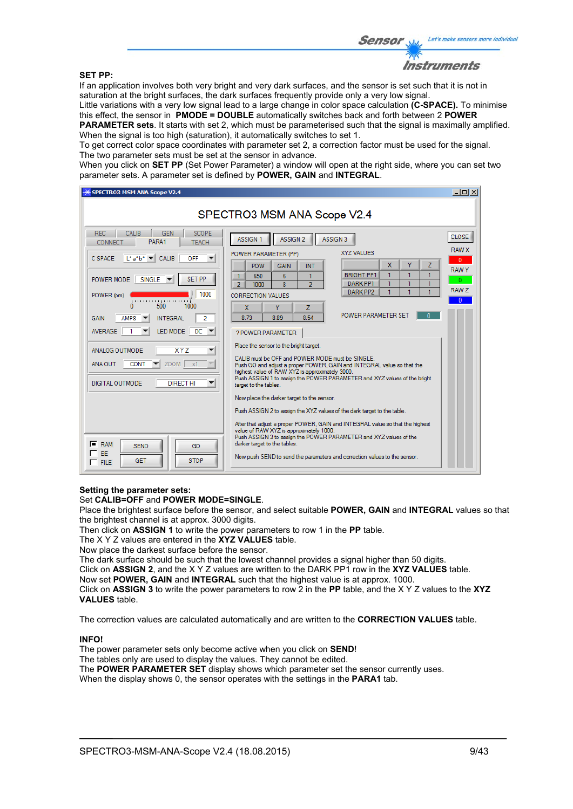#### **SET PP:**

Instruments

If an application involves both very bright and very dark surfaces, and the sensor is set such that it is not in saturation at the bright surfaces, the dark surfaces frequently provide only a very low signal.

Little variations with a very low signal lead to a large change in color space calculation **(C-SPACE).** To minimise this effect, the sensor in **PMODE = DOUBLE** automatically switches back and forth between 2 **POWER PARAMETER sets**. It starts with set 2, which must be parameterised such that the signal is maximally amplified.

When the signal is too high (saturation), it automatically switches to set 1.

To get correct color space coordinates with parameter set 2, a correction factor must be used for the signal. The two parameter sets must be set at the sensor in advance.

When you click on **SET PP** (Set Power Parameter) a window will open at the right side, where you can set two parameter sets. A parameter set is defined by **POWER, GAIN** and **INTEGRAL**.

| <b>SPECTRO3 MSM ANA Scope V2.4</b>                                                                                                                                                                                                                                                                                                                                                                                                                                                                                                                                                       |                                                                                                                                                                                                                                                                                                                                                                                                                                                                                                                                                                                                                                                                                                                                                                                                                                                                                                                                                                                                                                                                                                                                                                                          | $ \Box$ $\times$                                                                                 |  |  |
|------------------------------------------------------------------------------------------------------------------------------------------------------------------------------------------------------------------------------------------------------------------------------------------------------------------------------------------------------------------------------------------------------------------------------------------------------------------------------------------------------------------------------------------------------------------------------------------|------------------------------------------------------------------------------------------------------------------------------------------------------------------------------------------------------------------------------------------------------------------------------------------------------------------------------------------------------------------------------------------------------------------------------------------------------------------------------------------------------------------------------------------------------------------------------------------------------------------------------------------------------------------------------------------------------------------------------------------------------------------------------------------------------------------------------------------------------------------------------------------------------------------------------------------------------------------------------------------------------------------------------------------------------------------------------------------------------------------------------------------------------------------------------------------|--------------------------------------------------------------------------------------------------|--|--|
| SPECTRO3 MSM ANA Scope V2.4                                                                                                                                                                                                                                                                                                                                                                                                                                                                                                                                                              |                                                                                                                                                                                                                                                                                                                                                                                                                                                                                                                                                                                                                                                                                                                                                                                                                                                                                                                                                                                                                                                                                                                                                                                          |                                                                                                  |  |  |
| <b>SCOPE</b><br><b>REC</b><br>CALIB<br><b>GEN</b><br>PARA1<br><b>TEACH</b><br>CONNECT<br>$L^*a^*b^*$ $\blacktriangleright$ CALIB<br><b>OFF</b><br>C SPACE<br><b>SET PP</b><br>SINGLE V<br>POWER MODE<br>1000<br>POWER (pm)<br>500<br>1000<br>o<br>$\overline{2}$<br>AMP8<br><b>INTEGRAL</b><br>GAIN<br>LED MODE<br>$DC$ $\rightarrow$<br><b>AVERAGE</b><br><b>XYZ</b><br>ANALOG OUTMODE<br>▼<br>$ZOOM$ $x1$<br>ANA OUT<br><b>CONT</b><br><b>DIGITAL OUTMODE</b><br><b>DIRECT HI</b><br>▼<br>$F$ RAM<br><b>SEND</b><br>GO<br>$\sqsubset$ EE<br><b>STOP</b><br><b>GET</b><br>$\Gamma$ FILE | <b>ASSIGN 2</b><br>ASSIGN <sub>3</sub><br><b>ASSIGN 1</b><br>XYZ VALUES<br>POWER PARAMETER (PP)<br>X.<br>Ÿ<br>z<br>POW<br><b>GAIN</b><br><b>INT</b><br><b>BRIGHT PP1</b><br>1<br>6<br>1<br>650<br>1<br>1<br>1<br>$\overline{2}$<br><b>DARK PP1</b><br>8<br>$\overline{2}$<br>1000<br>DARK PP2<br>CORRECTION VALUES<br>Ÿ<br>Z<br>X<br><b>POWER PARAMETER SET</b><br>n<br>8.73<br>8.89<br>8.54<br>? POWER PARAMETER<br>Place the sensor to the bright target.<br>CALIB must be OFF and POWER MODE must be SINGLE.<br>Push GO and adjust a proper POWER, GAIN and INTEGRAL value so that the<br>highest value of RAW XYZ is approximately 3000.<br>Push ASSIGN 1 to assign the POWER PARAMETER and XYZ values of the bright<br>target to the tables.<br>Now place the darker target to the sensor.<br>Push ASSIGN 2 to assign the XYZ values of the dark target to the table.<br>After that adjust a proper POWER, GAIN and INTEGRAL value so that the highest<br>value of RAW XYZ is approximately 1000.<br>Push ASSIGN 3 to assign the POWER PARAMETER and XYZ values of the<br>darker target to the tables.<br>Now push SEND to send the parameters and correction values to the sensor. | <b>CLOSE</b><br><b>RAW X</b><br>$\mathbf{0}$<br><b>RAWY</b><br>$\Omega$<br>RAW Z<br>$\mathbf{0}$ |  |  |

#### **Setting the parameter sets:**

#### Set **CALIB=OFF** and **POWER MODE=SINGLE**.

Place the brightest surface before the sensor, and select suitable **POWER, GAIN** and **INTEGRAL** values so that the brightest channel is at approx. 3000 digits.

Then click on **ASSIGN 1** to write the power parameters to row 1 in the **PP** table.

The X Y Z values are entered in the **XYZ VALUES** table.

Now place the darkest surface before the sensor.

The dark surface should be such that the lowest channel provides a signal higher than 50 digits.

Click on **ASSIGN 2**, and the X Y Z values are written to the DARK PP1 row in the **XYZ VALUES** table.

Now set **POWER, GAIN** and **INTEGRAL** such that the highest value is at approx. 1000.

Click on **ASSIGN 3** to write the power parameters to row 2 in the **PP** table, and the X Y Z values to the **XYZ VALUES** table.

The correction values are calculated automatically and are written to the **CORRECTION VALUES** table.

#### **INFO!**

The power parameter sets only become active when you click on **SEND**!

The tables only are used to display the values. They cannot be edited.

The **POWER PARAMETER SET** display shows which parameter set the sensor currently uses.

When the display shows 0, the sensor operates with the settings in the **PARA1** tab.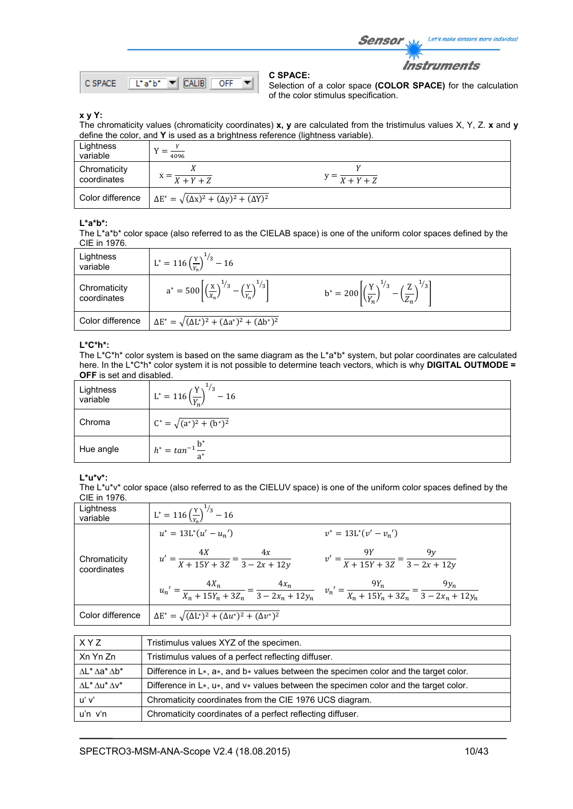Let's make sensors more individual Sensor

**Instruments** 



**C SPACE:** 

Selection of a color space **(COLOR SPACE)** for the calculation of the color stimulus specification.

#### **x y Y:**

The chromaticity values (chromaticity coordinates) **x, y** are calculated from the tristimulus values X, Y, Z. **x** and **y** define the color, and **Y** is used as a brightness reference (lightness variable).

| Lightness<br>variable       | 4096                                                             |                                   |  |
|-----------------------------|------------------------------------------------------------------|-----------------------------------|--|
| Chromaticity<br>coordinates | $X+Y+Z$                                                          | $y = \frac{X + Y + Z}{X + Y + Z}$ |  |
| Color difference            | $\Delta E^* = \sqrt{(\Delta x)^2 + (\Delta y)^2 + (\Delta Y)^2}$ |                                   |  |

#### **L\*a\*b\*:**

The L\*a\*b\* color space (also referred to as the CIELAB space) is one of the uniform color spaces defined by the CIE in 1976.

| Lightness<br>variable       | $L^* = 116 \left(\frac{Y}{Y_s}\right)^{1/3} - 16$                                                  |                                                                                            |
|-----------------------------|----------------------------------------------------------------------------------------------------|--------------------------------------------------------------------------------------------|
| Chromaticity<br>coordinates | $a^* = 500 \left[ \left( \frac{x}{x_n} \right)^{1/3} - \left( \frac{y}{y_n} \right)^{1/3} \right]$ | $b^* = 200 \left  \left(\frac{Y}{V}\right)^{1/3} - \left(\frac{Z}{Z}\right)^{1/3} \right $ |
| Color difference            | $\Delta E^* = \sqrt{(\Delta L^*)^2 + (\Delta a^*)^2 + (\Delta b^*)^2}$                             |                                                                                            |

#### **L\*C\*h\*:**

The L\*C\*h\* color system is based on the same diagram as the L\*a\*b\* system, but polar coordinates are calculated here. In the L\*C\*h\* color system it is not possible to determine teach vectors, which is why **DIGITAL OUTMODE = OFF** is set and disabled.

| Lightness<br>variable | $\frac{1}{3}$<br>$L^* = 116 \left(\frac{Y}{V}\right)^{-1}$<br>$-16$ |
|-----------------------|---------------------------------------------------------------------|
| Chroma                | $C^* = \sqrt{(a^*)^2 + (b^*)^2}$                                    |
| Hue angle             | $h^* = \tan^{-1} \frac{b}{a^*}$                                     |

#### **L\*u\*v\*:**

The L\*u\*v\* color space (also referred to as the CIELUV space) is one of the uniform color spaces defined by the CIE in 1976.

| Lightness<br>variable       | $L^* = 116 \left(\frac{Y}{V_E}\right)^{1/3} - 16$                                                                                                 |                                                          |
|-----------------------------|---------------------------------------------------------------------------------------------------------------------------------------------------|----------------------------------------------------------|
|                             | $u^* = 13L^*(u' - u_n')$                                                                                                                          | $v^* = 13L^*(v'-v_n')$                                   |
| Chromaticity<br>coordinates | $u' = \frac{4X}{X + 15Y + 3Z} = \frac{4x}{3 - 2x + 12y}$                                                                                          | $v' = \frac{9Y}{X + 15Y + 3Z} = \frac{9y}{3 - 2x + 12y}$ |
|                             | $u_n' = \frac{4X_n}{X_n + 15Y_n + 3Z_n} = \frac{4x_n}{3 - 2x_n + 12y_n}$ $v_n' = \frac{9Y_n}{X_n + 15Y_n + 3Z_n} = \frac{9y_n}{3 - 2x_n + 12y_n}$ |                                                          |
| Color difference            | $\Delta E^* = \sqrt{(\Delta L^*)^2 + (\Delta u^*)^2 + (\Delta v^*)^2}$                                                                            |                                                          |

| XYZ                                   | Tristimulus values XYZ of the specimen.                                                         |
|---------------------------------------|-------------------------------------------------------------------------------------------------|
| Xn Yn Zn                              | Tristimulus values of a perfect reflecting diffuser.                                            |
| $\Delta$ L* $\Delta$ a* $\Delta$ b*   | Difference in $L*, a*,$ and $b*$ values between the specimen color and the target color.        |
| $\Lambda L^* \Lambda u^* \Lambda v^*$ | Difference in $L^*$ , $u^*$ , and $v^*$ values between the specimen color and the target color. |
| uʻ vʻ                                 | Chromaticity coordinates from the CIE 1976 UCS diagram.                                         |
| u'n v'n                               | Chromaticity coordinates of a perfect reflecting diffuser.                                      |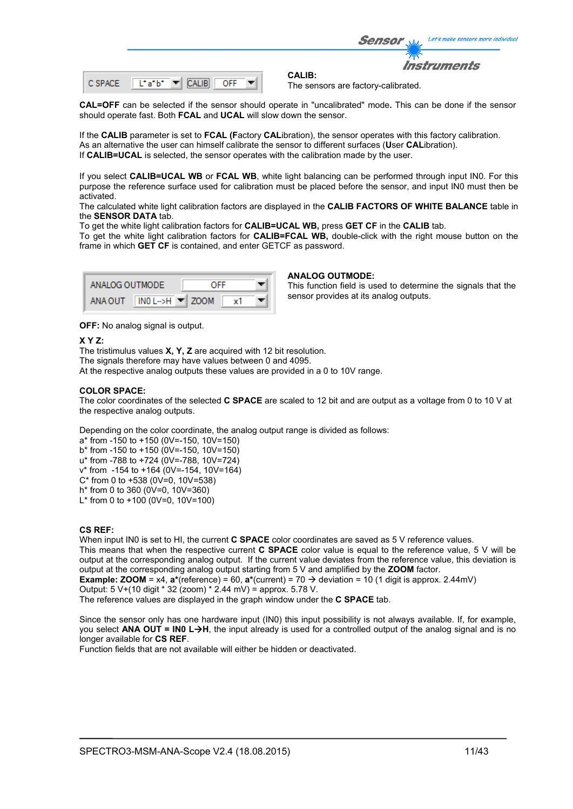|  |  |  | ---------- |  |  |
|--|--|--|------------|--|--|
|--|--|--|------------|--|--|

**CALIB:**  The sensors are factory-calibrated.

Sensor

**CAL=OFF** can be selected if the sensor should operate in "uncalibrated" mode**.** This can be done if the sensor should operate fast. Both **FCAL** and **UCAL** will slow down the sensor.

If the **CALIB** parameter is set to **FCAL (F**actory **CAL**ibration), the sensor operates with this factory calibration. As an alternative the user can himself calibrate the sensor to different surfaces (**U**ser **CAL**ibration). If **CALIB=UCAL** is selected, the sensor operates with the calibration made by the user.

If you select **CALIB=UCAL WB** or **FCAL WB**, white light balancing can be performed through input IN0. For this purpose the reference surface used for calibration must be placed before the sensor, and input IN0 must then be activated.

The calculated white light calibration factors are displayed in the **CALIB FACTORS OF WHITE BALANCE** table in the **SENSOR DATA** tab.

To get the white light calibration factors for **CALIB=UCAL WB,** press **GET CF** in the **CALIB** tab.

To get the white light calibration factors for **CALIB=FCAL WB,** double-click with the right mouse button on the frame in which **GET CF** is contained, and enter GETCF as password.

| ANALOG OUTMODE. |                                       | OFF |  |
|-----------------|---------------------------------------|-----|--|
| ANA OUT         | $INO$ L->H $\blacktriangleright$ ZOOM |     |  |

#### **ANALOG OUTMODE:**

This function field is used to determine the signals that the sensor provides at its analog outputs.

Let's make sensors more individual

Instruments

**OFF:** No analog signal is output.

#### **X Y Z:**

The tristimulus values **X, Y, Z** are acquired with 12 bit resolution. The signals therefore may have values between 0 and 4095. At the respective analog outputs these values are provided in a 0 to 10V range.

#### **COLOR SPACE:**

The color coordinates of the selected **C SPACE** are scaled to 12 bit and are output as a voltage from 0 to 10 V at the respective analog outputs.

Depending on the color coordinate, the analog output range is divided as follows:

- a\* from -150 to +150 (0V=-150, 10V=150)
- b\* from -150 to +150 (0V=-150, 10V=150) u\* from -788 to +724 (0V=-788, 10V=724)
- v\* from -154 to +164 (0V=-154, 10V=164)
- $C^*$  from 0 to +538 (0V=0, 10V=538)
- h\* from 0 to 360 (0V=0, 10V=360)
- L<sup>\*</sup> from 0 to +100 (0V=0, 10V=100)

#### **CS REF:**

When input IN0 is set to HI, the current **C SPACE** color coordinates are saved as 5 V reference values. This means that when the respective current **C SPACE** color value is equal to the reference value, 5 V will be output at the corresponding analog output. If the current value deviates from the reference value, this deviation is output at the corresponding analog output starting from 5 V and amplified by the **ZOOM** factor.

**Example: <b>ZOOM** =  $x4$ ,  $\mathbf{a}^*$ (reference) = 60,  $\mathbf{a}^*$ (current) = 70  $\rightarrow$  deviation = 10 (1 digit is approx. 2.44mV)

Output: 5 V+(10 digit \* 32 (zoom) \* 2.44 mV) = approx. 5.78 V.

The reference values are displayed in the graph window under the **C SPACE** tab.

Since the sensor only has one hardware input (IN0) this input possibility is not always available. If, for example, you select **ANA OUT = IN0 L-H**, the input already is used for a controlled output of the analog signal and is no longer available for **CS REF**.

Function fields that are not available will either be hidden or deactivated.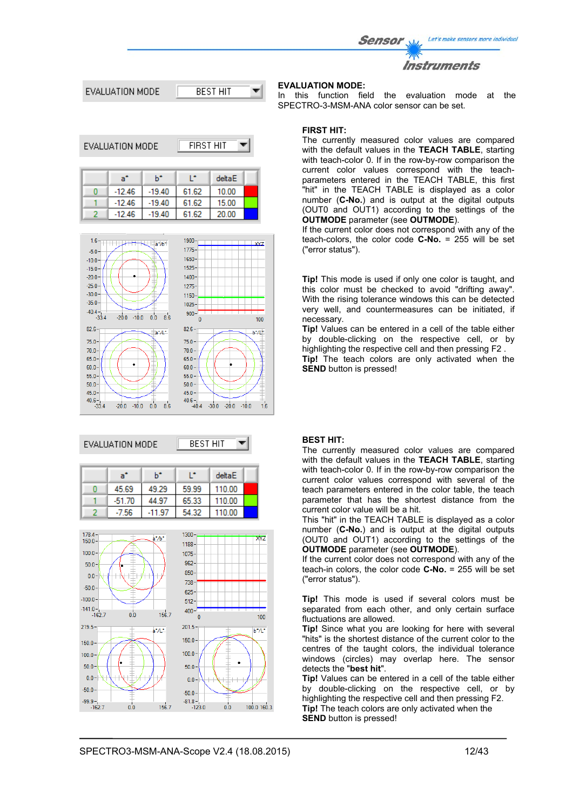Let's make sensors more individual Sensor





| EVALUATION MODE |          | FIRST HIT |        |  |
|-----------------|----------|-----------|--------|--|
| a°              | h*       | œ         | deltaE |  |
| $-12.46$        | $-19.40$ | 61.62     | 10.00  |  |
| $-12.46$        | $-19.40$ | 61.62     | 15.00  |  |
| $-12.46$        | $-19.40$ | 61.62     | 20.00  |  |



#### EVALUATION MODE



| a"       | h*     |       | deltaE |  |
|----------|--------|-------|--------|--|
| 45.69    | 49.29  | 59.99 | 110.00 |  |
| $-51.70$ | 44.97  | 65.33 | 110.00 |  |
| -7.56    | -11.97 | 54.32 | 110.00 |  |



### **EVALUATION MODE:**

In this function field the evaluation mode at the SPECTRO-3-MSM-ANA color sensor can be set.

#### **FIRST HIT:**

The currently measured color values are compared with the default values in the **TEACH TABLE**, starting with teach-color 0. If in the row-by-row comparison the current color values correspond with the teachparameters entered in the TEACH TABLE, this first "hit" in the TEACH TABLE is displayed as a color number (**C-No.**) and is output at the digital outputs (OUT0 and OUT1) according to the settings of the **OUTMODE** parameter (see **OUTMODE**).

If the current color does not correspond with any of the teach-colors, the color code **C-No.** = 255 will be set ("error status").

**Tip!** This mode is used if only one color is taught, and this color must be checked to avoid "drifting away". With the rising tolerance windows this can be detected very well, and countermeasures can be initiated, if necessary.

**Tip!** Values can be entered in a cell of the table either by double-clicking on the respective cell, or by highlighting the respective cell and then pressing F2 . **Tip!** The teach colors are only activated when the **SEND** button is pressed!

#### **BEST HIT:**

The currently measured color values are compared with the default values in the **TEACH TABLE**, starting with teach-color 0. If in the row-by-row comparison the current color values correspond with several of the teach parameters entered in the color table, the teach parameter that has the shortest distance from the current color value will be a hit.

This "hit" in the TEACH TABLE is displayed as a color number (**C-No.**) and is output at the digital outputs (OUT0 and OUT1) according to the settings of the **OUTMODE** parameter (see **OUTMODE**).

If the current color does not correspond with any of the teach-in colors, the color code **C-No.** = 255 will be set ("error status").

**Tip!** This mode is used if several colors must be separated from each other, and only certain surface fluctuations are allowed.

**Tip!** Since what you are looking for here with several "hits" is the shortest distance of the current color to the centres of the taught colors, the individual tolerance windows (circles) may overlap here. The sensor detects the "**best hit**".

**Tip!** Values can be entered in a cell of the table either by double-clicking on the respective cell, or by highlighting the respective cell and then pressing F2. **Tip!** The teach colors are only activated when the **SEND** button is pressed!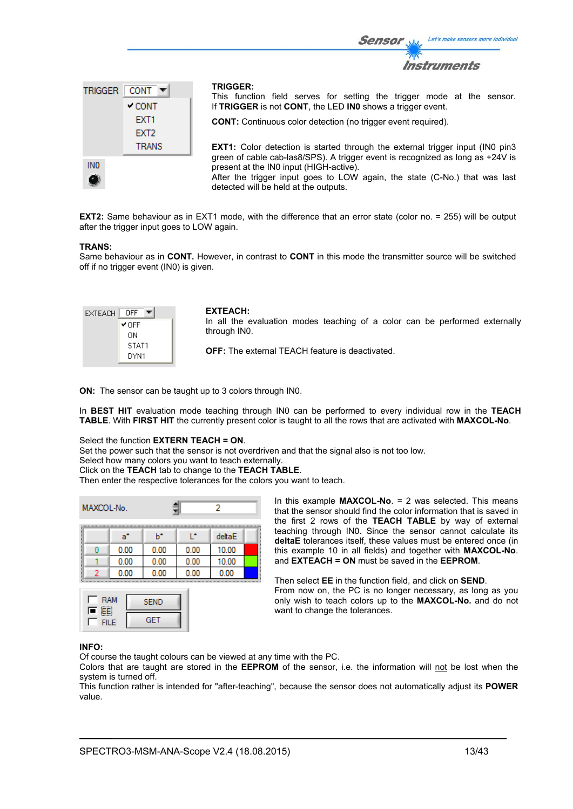

**EXT2:** Same behaviour as in EXT1 mode, with the difference that an error state (color no. = 255) will be output after the trigger input goes to LOW again.

#### **TRANS:**

Same behaviour as in **CONT.** However, in contrast to **CONT** in this mode the transmitter source will be switched off if no trigger event (IN0) is given.

| EXTEACH | OFF   |
|---------|-------|
|         | ✔ OFF |
|         | OΝ    |
|         | STAT1 |
|         | DYN1  |

#### **EXTEACH:**

In all the evaluation modes teaching of a color can be performed externally through IN0.

Sensor

**OFF:** The external TEACH feature is deactivated.

**ON:** The sensor can be taught up to 3 colors through IN0.

In **BEST HIT** evaluation mode teaching through IN0 can be performed to every individual row in the **TEACH TABLE**. With **FIRST HIT** the currently present color is taught to all the rows that are activated with **MAXCOL-No**.

#### Select the function **EXTERN TEACH = ON**.

Set the power such that the sensor is not overdriven and that the signal also is not too low.

Select how many colors you want to teach externally.

Click on the **TEACH** tab to change to the **TEACH TABLE**.

Then enter the respective tolerances for the colors you want to teach.

| MAXCOL-No.<br>2 |      |      |      |        |  |
|-----------------|------|------|------|--------|--|
|                 | a"   | ь    | œ    | deltaE |  |
|                 | 0.00 | 0.00 | 0.00 | 10.00  |  |
|                 | 0.00 | 0.00 | 0.00 | 10.00  |  |
|                 | 0.00 | 0.00 | 0.00 | 0.00   |  |



In this example **MAXCOL-No**. = 2 was selected. This means that the sensor should find the color information that is saved in the first 2 rows of the **TEACH TABLE** by way of external teaching through IN0. Since the sensor cannot calculate its **deltaE** tolerances itself, these values must be entered once (in this example 10 in all fields) and together with **MAXCOL-No**. and **EXTEACH = ON** must be saved in the **EEPROM**.

Then select **EE** in the function field, and click on **SEND**. From now on, the PC is no longer necessary, as long as you only wish to teach colors up to the **MAXCOL-No.** and do not want to change the tolerances.

#### **INFO:**

Of course the taught colours can be viewed at any time with the PC.

Colors that are taught are stored in the **EEPROM** of the sensor, i.e. the information will not be lost when the system is turned off.

This function rather is intended for "after-teaching", because the sensor does not automatically adjust its **POWER** value.

Let's make sensors more individual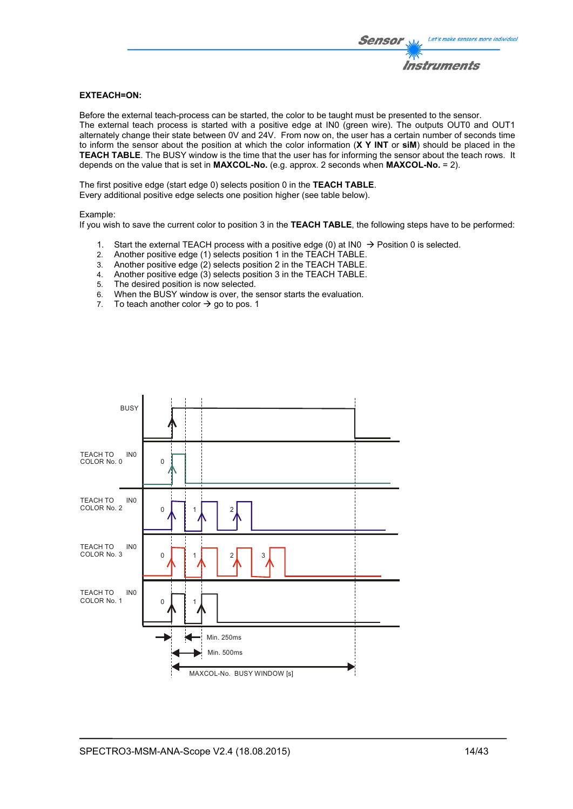#### **EXTEACH=ON:**

Before the external teach-process can be started, the color to be taught must be presented to the sensor. The external teach process is started with a positive edge at IN0 (green wire). The outputs OUT0 and OUT1 alternately change their state between 0V and 24V. From now on, the user has a certain number of seconds time to inform the sensor about the position at which the color information (**X Y INT** or **siM**) should be placed in the **TEACH TABLE**. The BUSY window is the time that the user has for informing the sensor about the teach rows. It depends on the value that is set in **MAXCOL-No.** (e.g. approx. 2 seconds when **MAXCOL-No.** = 2).

The first positive edge (start edge 0) selects position 0 in the **TEACH TABLE**. Every additional positive edge selects one position higher (see table below).

#### Example:

If you wish to save the current color to position 3 in the **TEACH TABLE**, the following steps have to be performed:

- 1. Start the external TEACH process with a positive edge (0) at INO  $\rightarrow$  Position 0 is selected.
- 2. Another positive edge (1) selects position 1 in the TEACH TABLE.
- 3. Another positive edge (2) selects position 2 in the TEACH TABLE.
- 4. Another positive edge (3) selects position 3 in the TEACH TABLE.
- 5. The desired position is now selected.
- 6. When the BUSY window is over, the sensor starts the evaluation.
- 7. To teach another color  $\rightarrow$  go to pos. 1

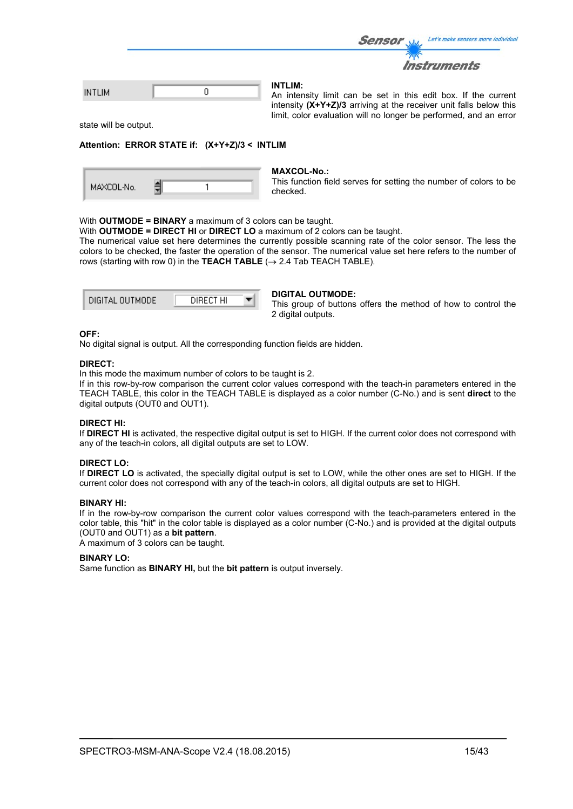|             | <i>Sensor</i><br>Let's make sensors more individual                              |
|-------------|----------------------------------------------------------------------------------|
|             | <b>Instruments</b>                                                               |
| <b>TLIM</b> | <b>INTLIM:</b><br>An intensity limit can be set in this edit box. If the current |

intensity **(X+Y+Z)/3** arriving at the receiver unit falls below this limit, color evaluation will no longer be performed, and an error

state will be output.

IN

#### **Attention: ERROR STATE if: (X+Y+Z)/3 < INTLIM**

| MAXCOL-No. |
|------------|
|------------|

#### **MAXCOL-No.:**

This function field serves for setting the number of colors to be checked.

#### With **OUTMODE = BINARY** a maximum of 3 colors can be taught.

With **OUTMODE = DIRECT HI** or **DIRECT LO** a maximum of 2 colors can be taught.

The numerical value set here determines the currently possible scanning rate of the color sensor. The less the colors to be checked, the faster the operation of the sensor. The numerical value set here refers to the number of rows (starting with row 0) in the **TEACH TABLE**  $(\rightarrow 2.4$  Tab TEACH TABLE).

| DIGITAL OUTMODE | DIRECT HI |  |
|-----------------|-----------|--|
|                 |           |  |

#### **DIGITAL OUTMODE:**

This group of buttons offers the method of how to control the 2 digital outputs.

#### **OFF:**

No digital signal is output. All the corresponding function fields are hidden.

#### **DIRECT:**

In this mode the maximum number of colors to be taught is 2.

If in this row-by-row comparison the current color values correspond with the teach-in parameters entered in the TEACH TABLE, this color in the TEACH TABLE is displayed as a color number (C-No.) and is sent **direct** to the digital outputs (OUT0 and OUT1).

#### **DIRECT HI:**

If **DIRECT HI** is activated, the respective digital output is set to HIGH. If the current color does not correspond with any of the teach-in colors, all digital outputs are set to LOW.

#### **DIRECT LO:**

If **DIRECT LO** is activated, the specially digital output is set to LOW, while the other ones are set to HIGH. If the current color does not correspond with any of the teach-in colors, all digital outputs are set to HIGH.

#### **BINARY HI:**

If in the row-by-row comparison the current color values correspond with the teach-parameters entered in the color table, this "hit" in the color table is displayed as a color number (C-No.) and is provided at the digital outputs (OUT0 and OUT1) as a **bit pattern**.

A maximum of 3 colors can be taught.

#### **BINARY LO:**

Same function as **BINARY HI,** but the **bit pattern** is output inversely.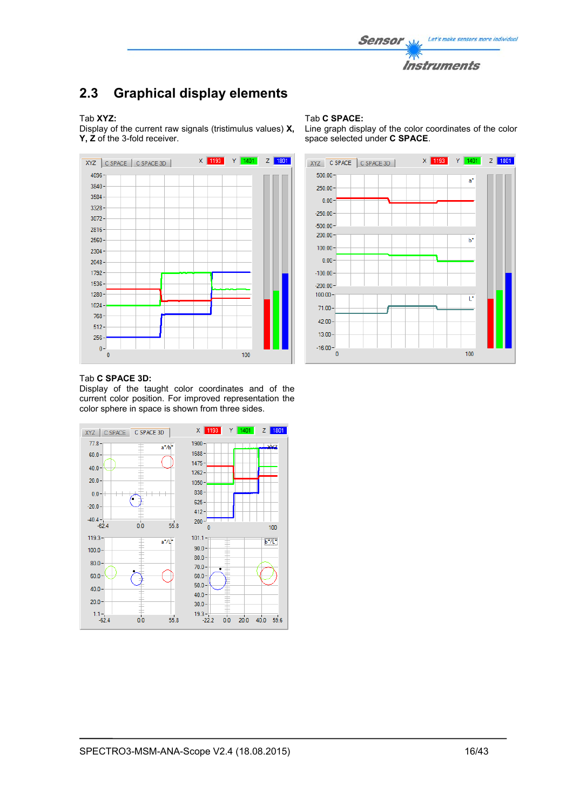

# **2.3 Graphical display elements**

#### Tab **XYZ:**

Display of the current raw signals (tristimulus values) **X, Y, Z** of the 3-fold receiver.



#### Tab **C SPACE:**

Line graph display of the color coordinates of the color space selected under **C SPACE**.



#### Tab **C SPACE 3D:**

Display of the taught color coordinates and of the current color position. For improved representation the color sphere in space is shown from three sides.

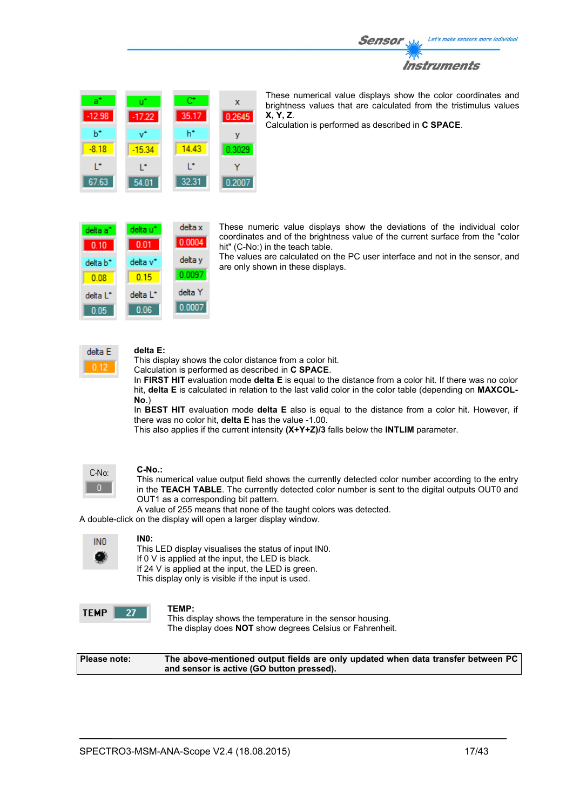



These numerical value displays show the color coordinates and brightness values that are calculated from the tristimulus values **X, Y, Z**.

Calculation is performed as described in **C SPACE**.

| delta a <sup>-</sup> | delta u" | delta x |
|----------------------|----------|---------|
| 0.10                 | 0.01     | 0.0004  |
| delta b <sup>*</sup> | delta v* | delta y |
| 0.08                 | 0.15     | 0.0097  |
| delta L*             | delta L* | delta Y |
| 0.05                 | 0.06     | 0.0007  |

These numeric value displays show the deviations of the individual color coordinates and of the brightness value of the current surface from the "color hit" (C-No:) in the teach table.

The values are calculated on the PC user interface and not in the sensor, and are only shown in these displays.



#### **delta E:**

This display shows the color distance from a color hit.

Calculation is performed as described in **C SPACE**.

In **FIRST HIT** evaluation mode **delta E** is equal to the distance from a color hit. If there was no color hit, **delta E** is calculated in relation to the last valid color in the color table (depending on **MAXCOL-No**.)

In **BEST HIT** evaluation mode **delta E** also is equal to the distance from a color hit. However, if there was no color hit, **delta E** has the value -1.00.

This also applies if the current intensity **(X+Y+Z)/3** falls below the **INTLIM** parameter.



#### **C-No.:**

This numerical value output field shows the currently detected color number according to the entry in the **TEACH TABLE**. The currently detected color number is sent to the digital outputs OUT0 and OUT1 as a corresponding bit pattern.

A value of 255 means that none of the taught colors was detected.

A double-click on the display will open a larger display window.

| INO |  |
|-----|--|
|     |  |
|     |  |

**IN0:** 

This LED display visualises the status of input IN0. If 0 V is applied at the input, the LED is black. If 24 V is applied at the input, the LED is green. This display only is visible if the input is used.



### **TEMP:**

This display shows the temperature in the sensor housing. The display does **NOT** show degrees Celsius or Fahrenheit.

**Please note: The above-mentioned output fields are only updated when data transfer between PC and sensor is active (GO button pressed).**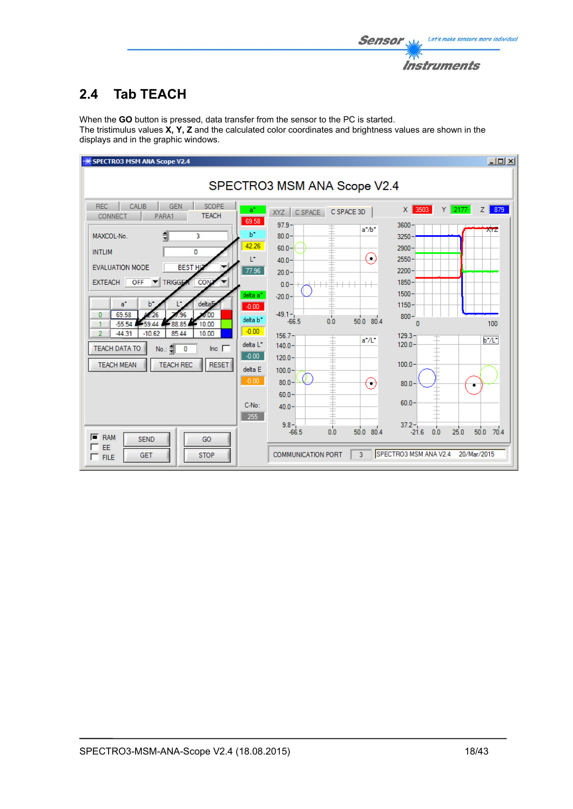

# **2.4 Tab TEACH**

When the **GO** button is pressed, data transfer from the sensor to the PC is started. The tristimulus values **X, Y, Z** and the calculated color coordinates and brightness values are shown in the displays and in the graphic windows.

| <b>SPECTRO3 MSM ANA Scope V2.4</b>                                                                                                                                                                                                                                                                                                                                                                                                                                                                                                                                                                                                                                                                                   |                                                                                                                                                                                                                                                                                                                                                                                                                                                                                           | $\Box$                                                                           |
|----------------------------------------------------------------------------------------------------------------------------------------------------------------------------------------------------------------------------------------------------------------------------------------------------------------------------------------------------------------------------------------------------------------------------------------------------------------------------------------------------------------------------------------------------------------------------------------------------------------------------------------------------------------------------------------------------------------------|-------------------------------------------------------------------------------------------------------------------------------------------------------------------------------------------------------------------------------------------------------------------------------------------------------------------------------------------------------------------------------------------------------------------------------------------------------------------------------------------|----------------------------------------------------------------------------------|
|                                                                                                                                                                                                                                                                                                                                                                                                                                                                                                                                                                                                                                                                                                                      | SPECTRO3 MSM ANA Scope V2.4                                                                                                                                                                                                                                                                                                                                                                                                                                                               |                                                                                  |
| CALIB<br><b>SCOPE</b><br><b>REC</b><br><b>GEN</b><br>$a^*$<br><b>TEACH</b><br><b>CONNECT</b><br>PARA1<br>69.58<br>$b^*$<br>MAXCOL-No.<br>3<br>42.26<br><b>INTLIM</b><br>$\mathbf{0}$<br>L*<br><b>BEST HD</b><br><b>EVALUATION MODE</b><br>77.96<br><b>TRIGGER</b><br>CON<br>OFF<br><b>EXTEACH</b><br>delta a <sup>*</sup><br>delta <sub>b</sub><br>$a^*$<br>$b^*$<br>$-0.00$<br>69.58<br>0<br>00<br>delta b <sup>*</sup><br>$-55.54$<br>88.85<br>10.00<br>59<br>$-0.00$<br>$\overline{2}$<br>$-44.31$<br>$-10.62$<br>85.44<br>10.00<br>delta L <sup>*</sup><br><b>TEACH DATA TO</b><br>Inc. $\Box$<br>No.: 훼<br>0<br>$-0.00$<br><b>TEACH MEAN</b><br><b>TEACH REC</b><br><b>RESET</b><br>delta E<br>$-0.00$<br>C-No: | $X$ 3503<br>C SPACE 3D<br>C SPACE<br>XYZ<br>$97.9 -$<br>3600<br>$a^* / b^*$<br>$80.0 -$<br>$3250 -$<br>$60.0 -$<br>2900<br>$(\ )$<br>$2550 -$<br>$40.0 -$<br>2200<br>$20.0 -$<br>1850<br>$0.0 -$<br>$1500 -$<br>$-20.0 -$<br>$1150 -$<br>$-49.1 -$<br>$800 -$<br>$50.0$ 80.4<br>0.0<br>$-66.5$<br>$\mathbf{0}$<br>$156.7 -$<br>$129.3 -$<br>ŧ<br>$a^*/L^*$<br>$120.0 -$<br>$140.0 -$<br>$120.0 -$<br>$100.0 -$<br>$100.0 -$<br>$80.0 -$<br>50<br>80.0<br>$60.0 -$<br>$60.0 -$<br>$40.0 -$ | $Y$ 2177<br>879<br>Z <sub>1</sub><br><b>AIZ</b><br>100<br>$b^*/L^*$<br>$\bullet$ |
| 255<br>ஈ<br><b>RAM</b><br><b>SEND</b><br>GO<br>EE<br><b>STOP</b><br><b>GET</b><br>$\Gamma$ FILE                                                                                                                                                                                                                                                                                                                                                                                                                                                                                                                                                                                                                      | $9.8 -$<br>$37.2 -$<br>0.0<br>50.0 80.4<br>$-66.5$<br>$-21.6$<br>0.0<br>SPECTRO3 MSM ANA V2.4<br><b>COMMUNICATION PORT</b><br>3                                                                                                                                                                                                                                                                                                                                                           | 70.4<br>25.0<br>50.0<br>20/Mar/2015                                              |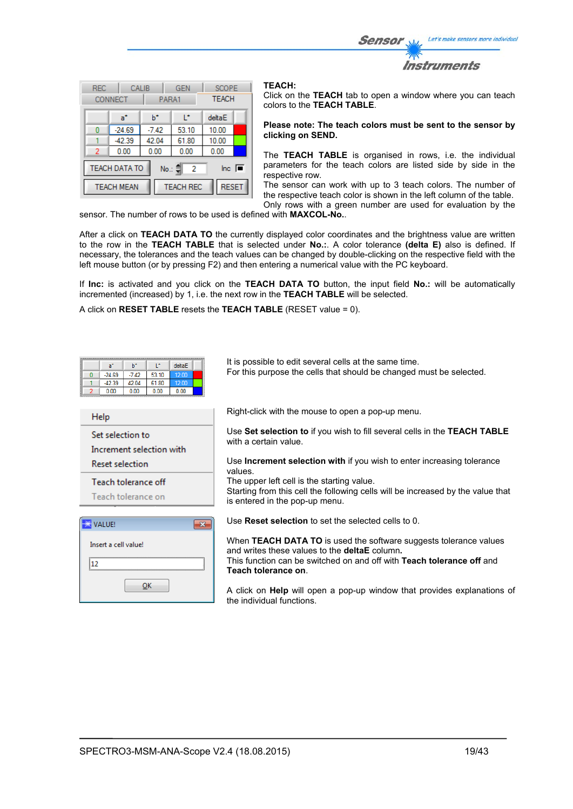Let's make sensors more individual Sensor Instruments

| <b>REC</b>                                                                                 | <b>CONNECT</b>    | <b>GEN</b><br>CALIB<br>PARA1     |       | <b>SCOPE</b><br><b>TEACH</b> |  |
|--------------------------------------------------------------------------------------------|-------------------|----------------------------------|-------|------------------------------|--|
|                                                                                            | a*                | ь                                | r     | deltaE                       |  |
| Ω                                                                                          | $-24.69$          | $-7.42$                          | 53.10 | 10.00                        |  |
|                                                                                            | $-42.39$          | 42.04                            | 61.80 | 10.00                        |  |
| 2                                                                                          | 0.00              | 0.00<br>0.00                     |       | 0.00                         |  |
| <b>TEACH DATA TO</b><br>$\overline{\mathsf{Inc}}$ $\overline{\blacksquare}$<br>No.: 이<br>2 |                   |                                  |       |                              |  |
|                                                                                            | <b>TEACH MEAN</b> | <b>RESET</b><br><b>TEACH REC</b> |       |                              |  |

#### **TEACH:**

Click on the **TEACH** tab to open a window where you can teach colors to the **TEACH TABLE**.

#### **Please note: The teach colors must be sent to the sensor by clicking on SEND.**

The **TEACH TABLE** is organised in rows, i.e. the individual parameters for the teach colors are listed side by side in the respective row.

The sensor can work with up to 3 teach colors. The number of the respective teach color is shown in the left column of the table. Only rows with a green number are used for evaluation by the

sensor. The number of rows to be used is defined with **MAXCOL-No.**.

After a click on **TEACH DATA TO** the currently displayed color coordinates and the brightness value are written to the row in the **TEACH TABLE** that is selected under **No.:**. A color tolerance **(delta E)** also is defined. If necessary, the tolerances and the teach values can be changed by double-clicking on the respective field with the left mouse button (or by pressing F2) and then entering a numerical value with the PC keyboard.

If **Inc:** is activated and you click on the **TEACH DATA TO** button, the input field **No.:** will be automatically incremented (increased) by 1, i.e. the next row in the **TEACH TABLE** will be selected.

A click on **RESET TABLE** resets the **TEACH TABLE** (RESET value = 0).

| L*<br>ы<br>deltaE<br>$a^*$<br>53.10<br>$-7.42$<br>12.00<br>$-24.69$<br>0<br>$-42.39$<br>42.04<br>61.80<br>12.00<br>0.00<br>0.00<br>0.00<br>0.00 | It is possible to edit several cells at the same time.<br>For this purpose the cells that should be changed must be selected. |
|-------------------------------------------------------------------------------------------------------------------------------------------------|-------------------------------------------------------------------------------------------------------------------------------|
| <b>Help</b>                                                                                                                                     | Right-click with the mouse to open a pop-up menu.                                                                             |
| Set selection to<br>Increment selection with                                                                                                    | Use Set selection to if you wish to fill several cells in the TEACH TABLE<br>with a certain value.                            |
| <b>Reset selection</b>                                                                                                                          | Use <b>Increment selection with</b> if you wish to enter increasing tolerance<br>values                                       |
| Teach tolerance off                                                                                                                             | The upper left cell is the starting value.                                                                                    |
| Teach tolerance on                                                                                                                              | Starting from this cell the following cells will be increased by the value that<br>is entered in the pop-up menu.             |
| $\mathbf{x}$<br>VALUE!                                                                                                                          | Use <b>Reset selection</b> to set the selected cells to 0.                                                                    |
| Insert a cell value!                                                                                                                            | When TEACH DATA TO is used the software suggests tolerance values<br>and writes these values to the <b>deltaE</b> column.     |
| 112                                                                                                                                             | This function can be switched on and off with <b>Teach tolerance off</b> and                                                  |
| ок                                                                                                                                              | Teach tolerance on<br>A click on Help will open a pop-up window that provides explanations of<br>the individual functions.    |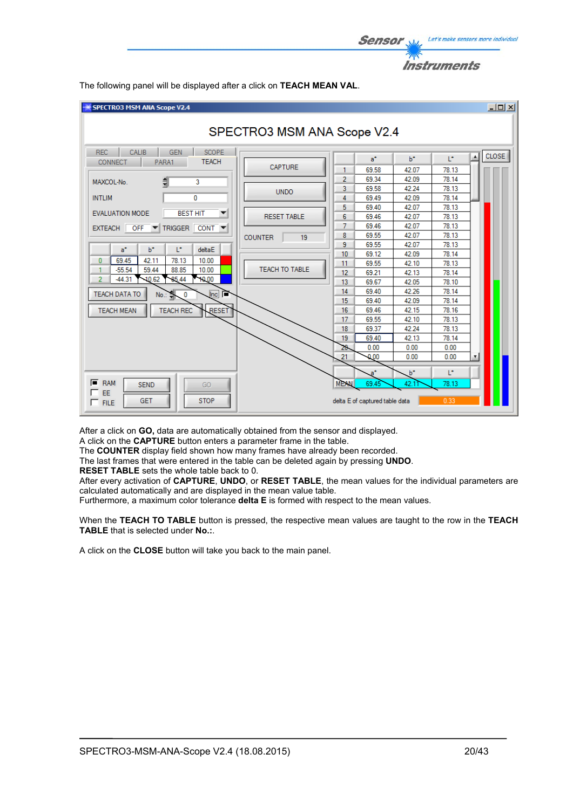

 $-10x$ SPECTRO3 MSM ANA Scope V2.4 SPECTRO3 MSM ANA Scope V2.4 REC CALIB GEN SCOPE **CLOSE**  $\blacktriangle$  $\mathsf{b}^{\star}$ T.  $a^*$ CONNECT | PARA1 **TEACH** CAPTURE 69.58 42.07 78.13 1. 69.34 42.09 78 14  $\overline{2}$ MAXCOL-No. 릨 ä 3 69.58 42.24 78.13 **UNDO INTLIM**  $\overline{0}$ 69.49 42.09 78.14  $\Delta$  $5<sub>1</sub>$ 69.40 42.07 78.13 **EVALUATION MODE BEST HIT**  $\overline{\mathbf{v}}$ **RESET TABLE** 69.46 42.07  $78.13$ 6 7 69.46 42.07 78.13 EXTEACH OFF TRIGGER CONT  $\overline{\phantom{a}}$ 69.55 42.07 78.13  $\overline{8}$ **COUNTER**  $19$ 9 69.55 42.07 78.13 a'  $b^*$ T. deltaE  $10$ 69.12 42.09 78.14  $10.00$  $\bf{0}$ 69.45 42.11 78.13  $11$ 69.55 42.10 78.13 TEACH TO TABLE  $-55.54$ 59.44 88.85  $10.00$ 1  $12$ 69.21 42.13 78.14  $\overline{2}$  $-44.31$  $-10.62$ 85.44 10.00  $13<sub>1</sub>$ 69.67 42.05 78.10  $\overline{14}$ 69.40 42.26 78.14 TEACH DATA TO No  $\overline{0}$ Inc. 69.40 42.09 78 14 15 69.46  $42.15$ 78.16 **TEACH MEAN TEACH REC RESET** 16 17 69.55 42.10 78 13 18 69.37 42.24 78.13 69.40 42.13 78 14  $19<sup>°</sup>$  $0.00$  $0.00$  $0.00$ 20  $0.00$  $0.00$  $0.00$ 21  $b^*$ Ŀ, a  $F$  RAM **MEAN SEND** GO 69.4 42 78.13 EE **STOP** GFT delta E of captured table data  $\Gamma$  FILE

The following panel will be displayed after a click on **TEACH MEAN VAL**.

After a click on **GO,** data are automatically obtained from the sensor and displayed.

A click on the **CAPTURE** button enters a parameter frame in the table.

The **COUNTER** display field shown how many frames have already been recorded.

The last frames that were entered in the table can be deleted again by pressing **UNDO**.

**RESET TABLE** sets the whole table back to 0.

After every activation of **CAPTURE**, **UNDO**, or **RESET TABLE**, the mean values for the individual parameters are calculated automatically and are displayed in the mean value table.

Furthermore, a maximum color tolerance **delta E** is formed with respect to the mean values.

When the **TEACH TO TABLE** button is pressed, the respective mean values are taught to the row in the **TEACH TABLE** that is selected under **No.:**.

A click on the **CLOSE** button will take you back to the main panel.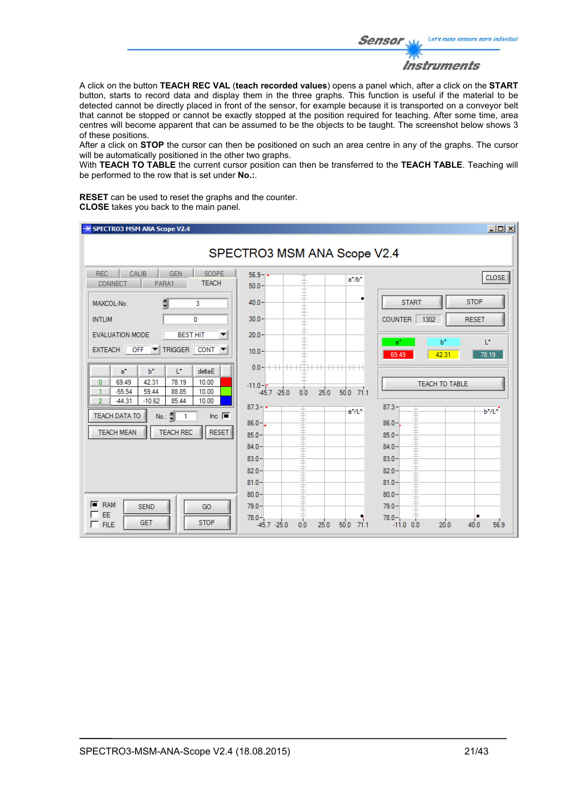Let's make sensors more individual **Sensor** Instruments

A click on the button **TEACH REC VAL** (**teach recorded values**) opens a panel which, after a click on the **START** button, starts to record data and display them in the three graphs. This function is useful if the material to be detected cannot be directly placed in front of the sensor, for example because it is transported on a conveyor belt that cannot be stopped or cannot be exactly stopped at the position required for teaching. After some time, area centres will become apparent that can be assumed to be the objects to be taught. The screenshot below shows 3 of these positions.

After a click on **STOP** the cursor can then be positioned on such an area centre in any of the graphs. The cursor will be automatically positioned in the other two graphs.

With **TEACH TO TABLE** the current cursor position can then be transferred to the **TEACH TABLE**. Teaching will be performed to the row that is set under **No.:**.

**RESET** can be used to reset the graphs and the counter. **CLOSE** takes you back to the main panel.

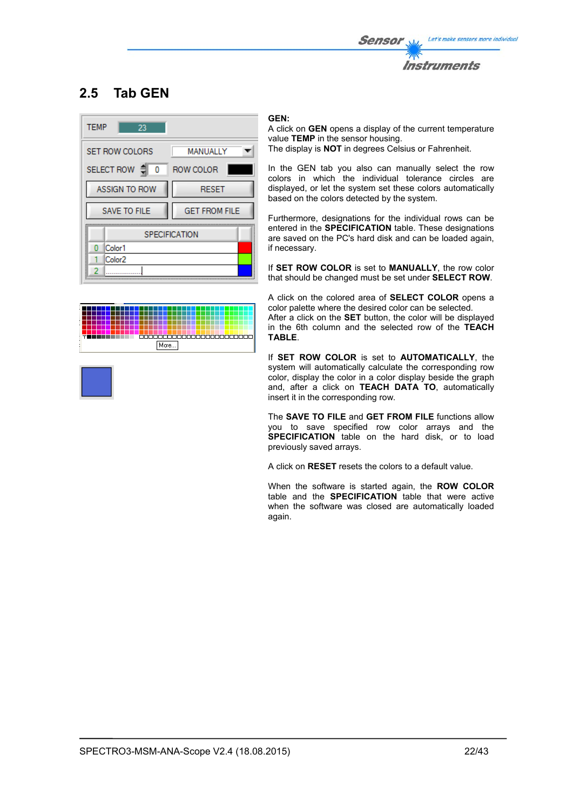

# **2.5 Tab GEN**



# 500000000000000000000000 More...

#### **GEN:**

A click on **GEN** opens a display of the current temperature value **TEMP** in the sensor housing. The display is **NOT** in degrees Celsius or Fahrenheit.

In the GEN tab you also can manually select the row colors in which the individual tolerance circles are displayed, or let the system set these colors automatically based on the colors detected by the system.

Furthermore, designations for the individual rows can be entered in the **SPECIFICATION** table. These designations are saved on the PC's hard disk and can be loaded again, if necessary.

If **SET ROW COLOR** is set to **MANUALLY**, the row color that should be changed must be set under **SELECT ROW**.

A click on the colored area of **SELECT COLOR** opens a color palette where the desired color can be selected.

After a click on the **SET** button, the color will be displayed in the 6th column and the selected row of the **TEACH TABLE**.

If **SET ROW COLOR** is set to **AUTOMATICALLY**, the system will automatically calculate the corresponding row color, display the color in a color display beside the graph and, after a click on **TEACH DATA TO**, automatically insert it in the corresponding row.

The **SAVE TO FILE** and **GET FROM FILE** functions allow you to save specified row color arrays and the **SPECIFICATION** table on the hard disk, or to load previously saved arrays.

A click on **RESET** resets the colors to a default value.

When the software is started again, the **ROW COLOR** table and the **SPECIFICATION** table that were active when the software was closed are automatically loaded again.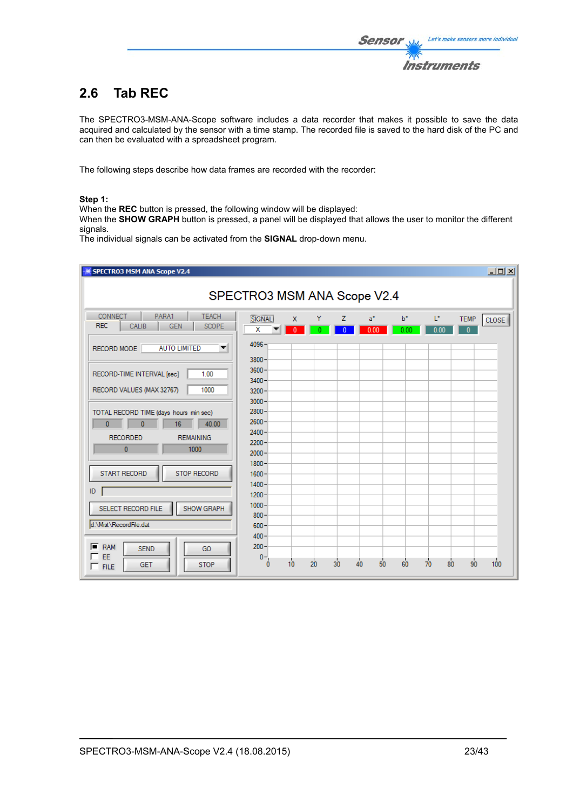# **2.6 Tab REC**

The SPECTRO3-MSM-ANA-Scope software includes a data recorder that makes it possible to save the data acquired and calculated by the sensor with a time stamp. The recorded file is saved to the hard disk of the PC and can then be evaluated with a spreadsheet program.

The following steps describe how data frames are recorded with the recorder:

#### **Step 1:**

When the **REC** button is pressed, the following window will be displayed:

When the **SHOW GRAPH** button is pressed, a panel will be displayed that allows the user to monitor the different signals.

The individual signals can be activated from the **SIGNAL** drop-down menu.

| SPECTRO3 MSM ANA Scope V2.4                                                                                                                      |                                              |                   |    |                 |            |               |                       |                                             | $-12X$ |
|--------------------------------------------------------------------------------------------------------------------------------------------------|----------------------------------------------|-------------------|----|-----------------|------------|---------------|-----------------------|---------------------------------------------|--------|
|                                                                                                                                                  | SPECTRO3 MSM ANA Scope V2.4                  |                   |    |                 |            |               |                       |                                             |        |
| <b>CONNECT</b><br>PARA1<br><b>TEACH</b><br><b>REC</b><br><b>SCOPE</b><br>CALIB<br><b>GEN</b><br><b>AUTO LIMITED</b><br>RECORD MODE<br>▼          | SIGNAL<br>X<br>4096                          | X<br>$\mathbf{0}$ | Y  | z<br>$\sqrt{ }$ | a*<br>0.00 | $b^*$<br>0.00 | L*<br>0.00            | <b>TEMP</b><br><b>CLOSE</b><br>$\mathbf{0}$ |        |
| 1.00<br>RECORD-TIME INTERVAL [sec]<br>1000<br>RECORD VALUES (MAX 32767)                                                                          | 3800<br>3600<br>3400<br>3200                 |                   |    |                 |            |               |                       |                                             |        |
| TOTAL RECORD TIME (days hours min sec)<br>$\bf{0}$<br>40.00<br>$\mathbf{0}$<br>16<br><b>RECORDED</b><br><b>REMAINING</b><br>$\mathbf{0}$<br>1000 | 3000<br>2800<br>2600<br>2400<br>2200<br>2000 |                   |    |                 |            |               |                       |                                             |        |
| <b>START RECORD</b><br><b>STOP RECORD</b><br>ID.                                                                                                 | 1800<br>1600<br>1400<br>$1200 -$             |                   |    |                 |            |               |                       |                                             |        |
| SELECT RECORD FILE<br>SHOW GRAPH<br>d:\Mist\RecordFile.dat                                                                                       | $1000 -$<br>800<br>$600 -$<br>$400 -$        |                   |    |                 |            |               |                       |                                             |        |
| $F$ RAM<br><b>SEND</b><br>GO<br>EE<br>⊏<br><b>STOP</b><br><b>GET</b><br>$\Gamma$ FILE                                                            | $200 -$<br>$0 -$<br>$\sqrt{2}$               | 10                | 20 | 30              | 40<br>50   | 60            | $\overline{70}$<br>80 | 100<br>90                                   |        |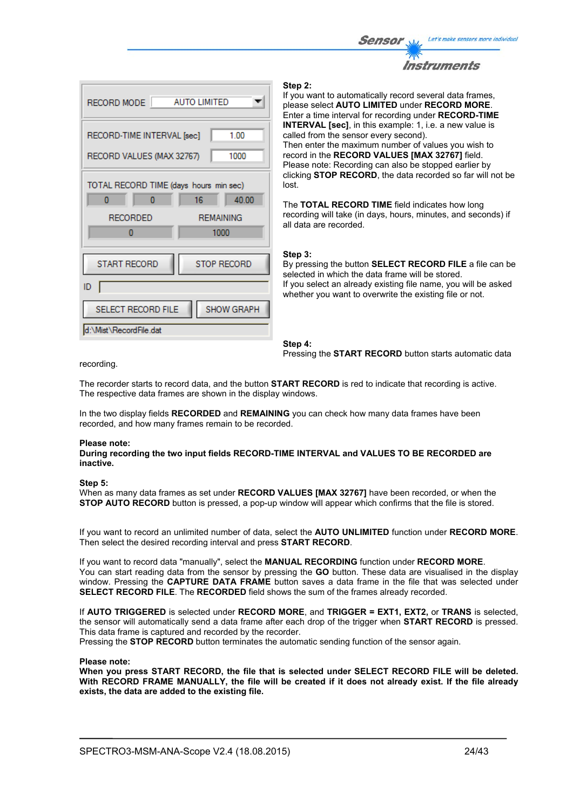



#### **Step 2:**

If you want to automatically record several data frames, please select **AUTO LIMITED** under **RECORD MORE**. Enter a time interval for recording under **RECORD-TIME INTERVAL [sec]**, in this example: 1, i.e. a new value is called from the sensor every second). Then enter the maximum number of values you wish to record in the **RECORD VALUES [MAX 32767]** field. Please note: Recording can also be stopped earlier by clicking **STOP RECORD**, the data recorded so far will not be lost.

The **TOTAL RECORD TIME** field indicates how long recording will take (in days, hours, minutes, and seconds) if all data are recorded.

#### **Step 3:**

By pressing the button **SELECT RECORD FILE** a file can be selected in which the data frame will be stored. If you select an already existing file name, you will be asked whether you want to overwrite the existing file or not.

**Step 4:**  Pressing the **START RECORD** button starts automatic data

recording.

The recorder starts to record data, and the button **START RECORD** is red to indicate that recording is active. The respective data frames are shown in the display windows.

In the two display fields **RECORDED** and **REMAINING** you can check how many data frames have been recorded, and how many frames remain to be recorded.

#### **Please note:**

**During recording the two input fields RECORD-TIME INTERVAL and VALUES TO BE RECORDED are inactive.**

#### **Step 5:**

When as many data frames as set under **RECORD VALUES [MAX 32767]** have been recorded, or when the **STOP AUTO RECORD** button is pressed, a pop-up window will appear which confirms that the file is stored.

If you want to record an unlimited number of data, select the **AUTO UNLIMITED** function under **RECORD MORE**. Then select the desired recording interval and press **START RECORD**.

If you want to record data "manually", select the **MANUAL RECORDING** function under **RECORD MORE**. You can start reading data from the sensor by pressing the **GO** button. These data are visualised in the display window. Pressing the **CAPTURE DATA FRAME** button saves a data frame in the file that was selected under **SELECT RECORD FILE**. The **RECORDED** field shows the sum of the frames already recorded.

If **AUTO TRIGGERED** is selected under **RECORD MORE**, and **TRIGGER = EXT1, EXT2,** or **TRANS** is selected, the sensor will automatically send a data frame after each drop of the trigger when **START RECORD** is pressed. This data frame is captured and recorded by the recorder.

Pressing the **STOP RECORD** button terminates the automatic sending function of the sensor again.

#### **Please note:**

**When you press START RECORD, the file that is selected under SELECT RECORD FILE will be deleted. With RECORD FRAME MANUALLY, the file will be created if it does not already exist. If the file already exists, the data are added to the existing file.**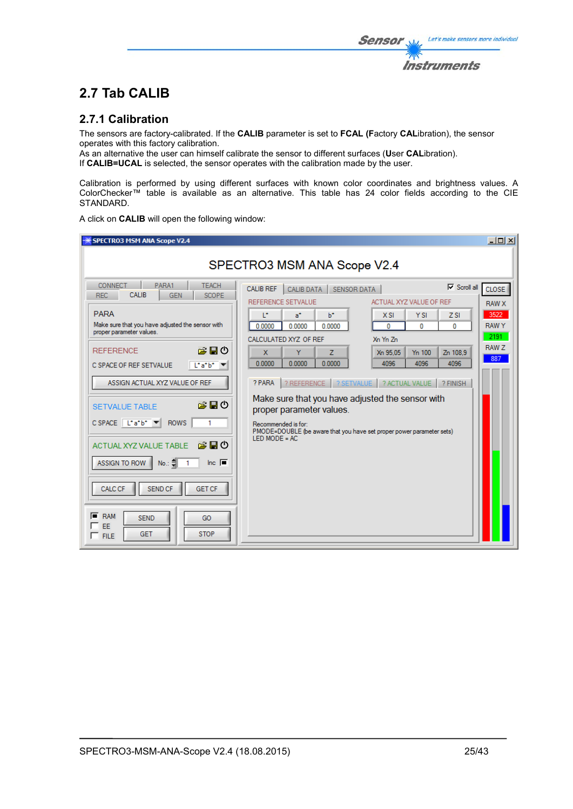The sensors are factory-calibrated. If the **CALIB** parameter is set to **FCAL (F**actory **CAL**ibration), the sensor operates with this factory calibration.

As an alternative the user can himself calibrate the sensor to different surfaces (**U**ser **CAL**ibration). If **CALIB=UCAL** is selected, the sensor operates with the calibration made by the user.

Calibration is performed by using different surfaces with known color coordinates and brightness values. A ColorChecker™ table is available as an alternative. This table has 24 color fields according to the CIE STANDARD.

A click on **CALIB** will open the following window:

| <b>SPECTRO3 MSM ANA Scope V2.4</b>                                                           |                                                                                          | $\Box$ o $\Box$   |
|----------------------------------------------------------------------------------------------|------------------------------------------------------------------------------------------|-------------------|
|                                                                                              | SPECTRO3 MSM ANA Scope V2.4                                                              |                   |
| <b>CONNECT</b><br>PARA1<br><b>TEACH</b><br>CALIB<br><b>REC</b><br><b>GEN</b><br><b>SCOPE</b> | $\nabla$ Scroll all<br><b>CALIB REF</b><br><b>CALIB DATA</b><br><b>SENSOR DATA</b>       | CLOSE <sup></sup> |
|                                                                                              | REFERENCE SETVALUE<br>ACTUAL XYZ VALUE OF REF                                            | <b>RAW X</b>      |
| <b>PARA</b>                                                                                  | T.<br>b*<br>$a^*$<br>X SI<br><b>YSI</b><br>ZSI                                           | 3522              |
| Make sure that you have adjusted the sensor with<br>proper parameter values.                 | 0.0000<br>0.0000<br>0.0000<br>o<br>o<br>0                                                | <b>RAWY</b>       |
|                                                                                              | CALCULATED XYZ OF REF<br>Xn Yn Zn                                                        | 2191              |
| ౚఄ⊟౿<br><b>REFERENCE</b>                                                                     | Ÿ<br>$\mathbf{x}$<br>Z<br>Xn 95.05<br>Y <sub>n</sub> 100<br>Zn 108.9                     | RAW Z             |
| C SPACE OF REF SETVALUE<br>Liatbi                                                            | 0.0000<br>0.0000<br>0.0000<br>4096<br>4096<br>4096                                       | 887               |
|                                                                                              |                                                                                          |                   |
| ASSIGN ACTUAL XYZ VALUE OF REF                                                               | ? REFERENCE   ? SETVALUE   ? ACTUAL VALUE  <br>? PARA<br>? FINISH                        |                   |
| お目の                                                                                          | Make sure that you have adjusted the sensor with                                         |                   |
| <b>SETVALUE TABLE</b>                                                                        | proper parameter values.                                                                 |                   |
| $C$ SPACE $\boxed{L^*a^*b^* \times 1}$<br><b>ROWS</b>                                        | Recommended is for:                                                                      |                   |
|                                                                                              | PMODE=DOUBLE (be aware that you have set proper power parameter sets)<br>$LED MODE = AC$ |                   |
| お目の<br><b>ACTUAL XYZ VALUE TABLE</b>                                                         |                                                                                          |                   |
| No.:<br>Inc. $\blacksquare$<br>ASSIGN TO ROW                                                 |                                                                                          |                   |
|                                                                                              |                                                                                          |                   |
| CALC CF<br><b>SEND CF</b><br><b>GET CF</b>                                                   |                                                                                          |                   |
|                                                                                              |                                                                                          |                   |
|                                                                                              |                                                                                          |                   |
| 匠<br><b>RAM</b><br><b>SEND</b><br>GO<br>EE                                                   |                                                                                          |                   |
| <b>STOP</b><br><b>GET</b><br>$\Gamma$ FILE                                                   |                                                                                          |                   |
|                                                                                              |                                                                                          |                   |

Let's make sensors more individual

**Instruments** 

Sensor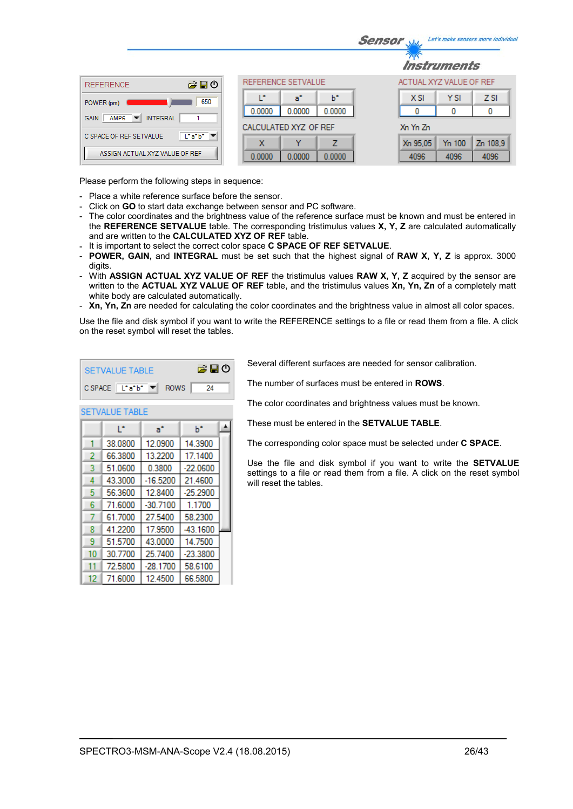|                                                                                |                            | Let's make sensors more individua<br><b>Sensor</b> |
|--------------------------------------------------------------------------------|----------------------------|----------------------------------------------------|
|                                                                                |                            | <i><b>Instruments</b></i>                          |
| 合日の<br><b>REFERENCE</b>                                                        | REFERENCE SETVALUE         | ACTUAL XYZ VALUE OF REF                            |
| 650<br>POWER (pm)                                                              | ь<br>œ<br>a*               | <b>YSI</b><br>Z <sub>SI</sub><br>$X$ SI            |
| <b>INTEGRAL</b><br>AMP <sub>6</sub><br><b>GAIN</b><br>$\overline{\phantom{a}}$ | 0.0000<br>0.0000<br>0.0000 | 0<br>0<br>0                                        |
|                                                                                | CALCULATED XYZ OF REF      | Xn Yn Zn                                           |
| $\lfloor \cdot a \cdot b \cdot \rfloor$<br>C SPACE OF REF SETVALUE             | 7<br>x<br>v                | Y <sub>n</sub> 100<br>Zn 108.9<br>Xn 95.05         |
| ASSIGN ACTUAL XYZ VALUE OF REF                                                 | 0.0000<br>0.0000<br>0.0000 | 4096<br>4096<br>4096                               |

Please perform the following steps in sequence:

- Place a white reference surface before the sensor.
- Click on **GO** to start data exchange between sensor and PC software.
- The color coordinates and the brightness value of the reference surface must be known and must be entered in the **REFERENCE SETVALUE** table. The corresponding tristimulus values **X, Y, Z** are calculated automatically and are written to the **CALCULATED XYZ OF REF** table.
- It is important to select the correct color space **C SPACE OF REF SETVALUE**.

▲

 $b^*$ 

- **POWER, GAIN,** and **INTEGRAL** must be set such that the highest signal of **RAW X, Y, Z** is approx. 3000 digits.
- With **ASSIGN ACTUAL XYZ VALUE OF REF** the tristimulus values **RAW X, Y, Z** acquired by the sensor are written to the **ACTUAL XYZ VALUE OF REF** table, and the tristimulus values **Xn, Yn, Zn** of a completely matt white body are calculated automatically.
- **Xn, Yn, Zn** are needed for calculating the color coordinates and the brightness value in almost all color spaces.

Use the file and disk symbol if you want to write the REFERENCE settings to a file or read them from a file. A click on the reset symbol will reset the tables.

| SETVALUE TABLE                                                        | 第日の |
|-----------------------------------------------------------------------|-----|
| $C$ SPACE $\boxed{\begin{bmatrix} \bot^* a^* b^* \end{bmatrix}}$ ROWS | -24 |

 $a^*$ 

**SETVALUE TABLE** Ŀ.

Several different surfaces are needed for sensor calibration.

The number of surfaces must be entered in **ROWS**.

The color coordinates and brightness values must be known.

These must be entered in the **SETVALUE TABLE**.

The corresponding color space must be selected under **C SPACE**.

Use the file and disk symbol if you want to write the **SETVALUE** settings to a file or read them from a file. A click on the reset symbol will reset the tables.

|    | 38.0800 | 12.0900    | 14.3900    |  |
|----|---------|------------|------------|--|
| 2  | 66.3800 | 13.2200    | 17.1400    |  |
| 3  | 51.0600 | 0.3800     | $-22.0600$ |  |
| 4  | 43.3000 | $-16.5200$ | 21.4600    |  |
| 5  | 56.3600 | 12.8400    | $-25.2900$ |  |
| 6  | 71.6000 | $-30.7100$ | 1.1700     |  |
|    | 61.7000 | 27.5400    | 58.2300    |  |
| 8  | 41.2200 | 17.9500    | $-43.1600$ |  |
| 9  | 51.5700 | 43.0000    | 14.7500    |  |
| 10 | 30.7700 | 25.7400    | $-23.3800$ |  |
| 11 | 72.5800 | $-28.1700$ | 58.6100    |  |
| 12 | 71.6000 | 12.4500    | 66.5800    |  |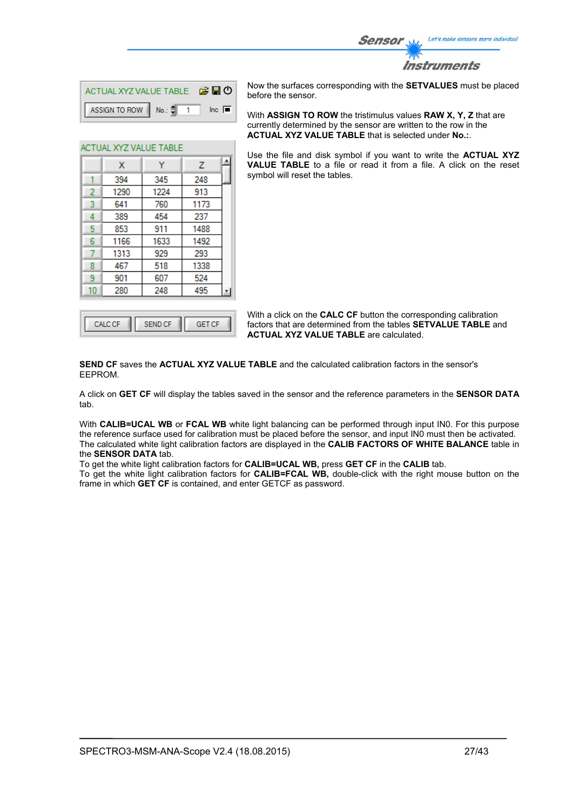

| ACTUAL XYZ VALUE TABLE <b>B B D</b> |                        |
|-------------------------------------|------------------------|
| ASSIGN TO ROW No.: $\frac{4}{3}$ 1  | $\ln c$ $\blacksquare$ |

Ÿ

345

1224

760

454

911

1633

929

518

607

248

**A** 

 $\overline{z}$ 

248

913

1173

237

1488

1492

293

1338

524

495

ACTUAL XYZ VALUE TABLE

 $\mathbf{x}$ 394

1290

641

389

853

1166

1313

467

901 280

1  $\overline{2}$ 

3

 $\overline{4}$ 

5

 $6\phantom{a}$ 

 $\overline{7}$ 

8

9

 $10<sup>°</sup>$ 

Now the surfaces corresponding with the **SETVALUES** must be placed before the sensor.

With **ASSIGN TO ROW** the tristimulus values **RAW X, Y, Z** that are currently determined by the sensor are written to the row in the **ACTUAL XYZ VALUE TABLE** that is selected under **No.:**.

Use the file and disk symbol if you want to write the **ACTUAL XYZ VALUE TABLE** to a file or read it from a file. A click on the reset symbol will reset the tables.

With a click on the **CALC CF** button the corresponding calibration factors that are determined from the tables **SETVALUE TABLE** and **ACTUAL XYZ VALUE TABLE** are calculated.

**SEND CF** saves the **ACTUAL XYZ VALUE TABLE** and the calculated calibration factors in the sensor's EEPROM.

A click on **GET CF** will display the tables saved in the sensor and the reference parameters in the **SENSOR DATA** tab.

With **CALIB=UCAL WB** or **FCAL WB** white light balancing can be performed through input IN0. For this purpose the reference surface used for calibration must be placed before the sensor, and input IN0 must then be activated. The calculated white light calibration factors are displayed in the **CALIB FACTORS OF WHITE BALANCE** table in the **SENSOR DATA** tab.

To get the white light calibration factors for **CALIB=UCAL WB,** press **GET CF** in the **CALIB** tab.

To get the white light calibration factors for **CALIB=FCAL WB,** double-click with the right mouse button on the frame in which **GET CF** is contained, and enter GETCF as password.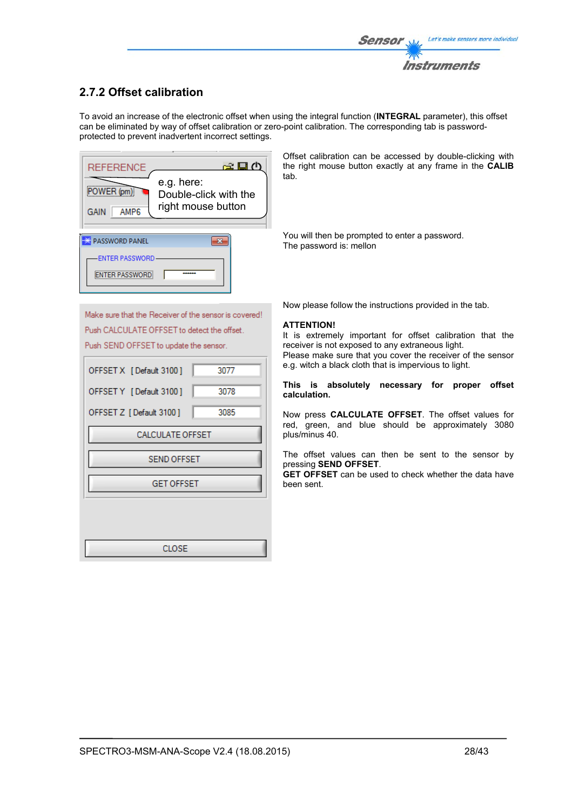## **2.7.2 Offset calibration**

To avoid an increase of the electronic offset when using the integral function (**INTEGRAL** parameter), this offset can be eliminated by way of offset calibration or zero-point calibration. The corresponding tab is passwordprotected to prevent inadvertent incorrect settings.



Offset calibration can be accessed by double-clicking with the right mouse button exactly at any frame in the **CALIB** tab.

You will then be prompted to enter a password. The password is: mellon

Make sure that the Receiver of the sensor is covered! Push CALCULATE OFFSET to detect the offset. Push SEND OFFSET to update the sensor.

| OFFSET X [Default 3100] | 3077 |
|-------------------------|------|
| OFFSET Y [Default 3100] | 3078 |
| OFFSET Z [Default 3100] | 3085 |
| CALCULATE OFFSET        |      |
| <b>SEND OFFSET</b>      |      |
| <b>GET OFFSET</b>       |      |
|                         |      |
|                         |      |
| CLOSE                   |      |

Now please follow the instructions provided in the tab.

#### **ATTENTION!**

It is extremely important for offset calibration that the receiver is not exposed to any extraneous light. Please make sure that you cover the receiver of the sensor e.g. witch a black cloth that is impervious to light.

#### **This is absolutely necessary for proper offset calculation.**

Now press **CALCULATE OFFSET**. The offset values for red, green, and blue should be approximately 3080 plus/minus 40.

The offset values can then be sent to the sensor by pressing **SEND OFFSET**.

**GET OFFSET** can be used to check whether the data have been sent.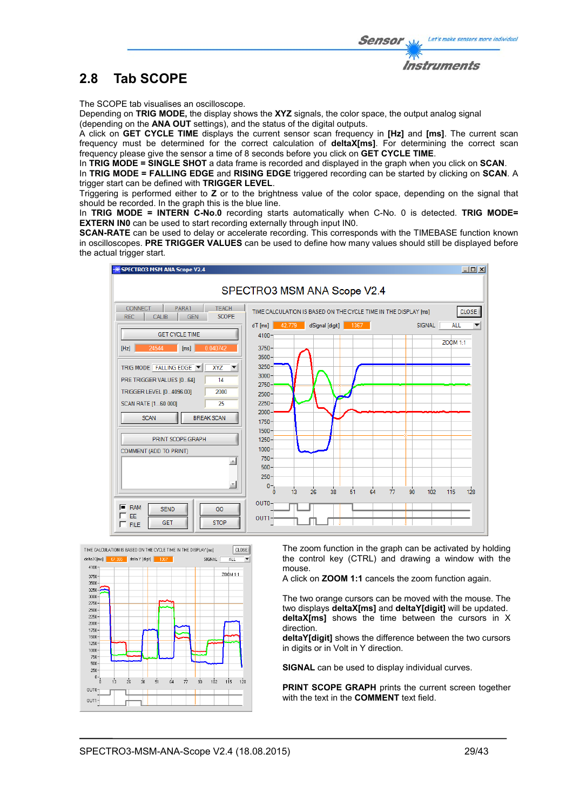Let's make sensors more individual

# **2.8 Tab SCOPE**

The SCOPE tab visualises an oscilloscope.

Depending on **TRIG MODE,** the display shows the **XYZ** signals, the color space, the output analog signal (depending on the **ANA OUT** settings), and the status of the digital outputs.

A click on **GET CYCLE TIME** displays the current sensor scan frequency in **[Hz]** and **[ms]**. The current scan frequency must be determined for the correct calculation of **deltaX[ms]**. For determining the correct scan frequency please give the sensor a time of 8 seconds before you click on **GET CYCLE TIME**.

In **TRIG MODE = SINGLE SHOT** a data frame is recorded and displayed in the graph when you click on **SCAN**.

In **TRIG MODE = FALLING EDGE** and **RISING EDGE** triggered recording can be started by clicking on **SCAN**. A trigger start can be defined with **TRIGGER LEVEL**.

Triggering is performed either to **Z** or to the brightness value of the color space, depending on the signal that should be recorded. In the graph this is the blue line.

In **TRIG MODE = INTERN C-No.0** recording starts automatically when C-No. 0 is detected. **TRIG MODE= EXTERN IN0** can be used to start recording externally through input IN0.

**SCAN-RATE** can be used to delay or accelerate recording. This corresponds with the TIMEBASE function known in oscilloscopes. **PRE TRIGGER VALUES** can be used to define how many values should still be displayed before the actual trigger start.





The zoom function in the graph can be activated by holding the control key (CTRL) and drawing a window with the mouse.

A click on **ZOOM 1:1** cancels the zoom function again.

The two orange cursors can be moved with the mouse. The two displays **deltaX[ms]** and **deltaY[digit]** will be updated. **deltaX[ms]** shows the time between the cursors in X direction.

**deltaY[digit]** shows the difference between the two cursors in digits or in Volt in Y direction.

**SIGNAL** can be used to display individual curves.

**PRINT SCOPE GRAPH** prints the current screen together with the text in the **COMMENT** text field.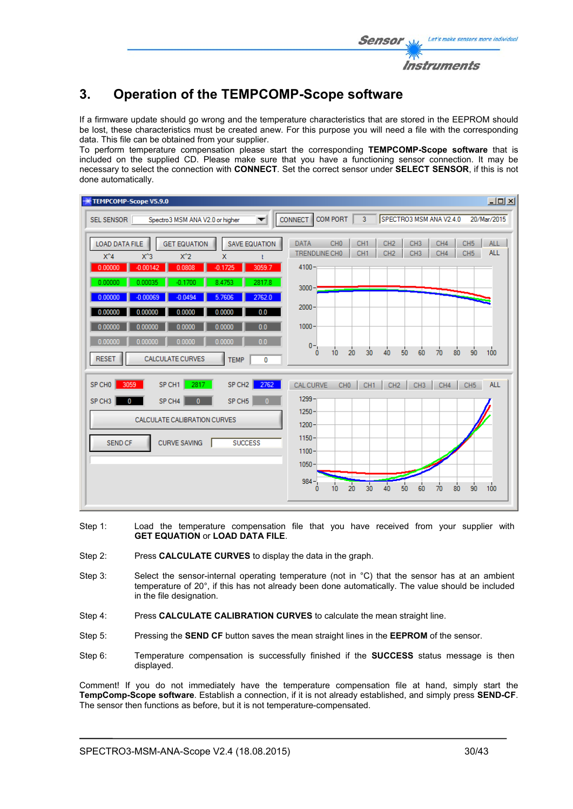# **3. Operation of the TEMPCOMP-Scope software**

If a firmware update should go wrong and the temperature characteristics that are stored in the EEPROM should be lost, these characteristics must be created anew. For this purpose you will need a file with the corresponding data. This file can be obtained from your supplier.

To perform temperature compensation please start the corresponding **TEMPCOMP-Scope software** that is included on the supplied CD. Please make sure that you have a functioning sensor connection. It may be necessary to select the connection with **CONNECT**. Set the correct sensor under **SELECT SENSOR**, if this is not done automatically.

| TEMPCOMP-Scope V5.9.0                                                                                                                                                          | $L = 2$                                                                                                                                                                                                                                                       |
|--------------------------------------------------------------------------------------------------------------------------------------------------------------------------------|---------------------------------------------------------------------------------------------------------------------------------------------------------------------------------------------------------------------------------------------------------------|
| Spectro3 MSM ANA V2.0 or higher<br>SEL SENSOR<br>$\overline{\phantom{a}}$                                                                                                      | <b>COM PORT</b><br>SPECTRO3 MSM ANA V2.4.0<br>$\overline{3}$<br><b>CONNECT</b><br>20/Mar/2015                                                                                                                                                                 |
| <b>GET EQUATION</b><br><b>SAVE EQUATION</b><br><b>LOAD DATA FILE</b><br>$X^2$<br>$X^4$<br>$X^3$<br>$\mathsf{x}$<br>Ł<br>$-0.00142$<br>3059.7<br>0.00000<br>0.0808<br>$-0.1725$ | CH <sub>0</sub><br>CH <sub>3</sub><br>CH4<br>CH <sub>1</sub><br>CH <sub>2</sub><br>CH <sub>5</sub><br><b>ALL</b><br><b>DATA</b><br><b>ALL</b><br>TRENDLINE CHO<br>CH <sub>1</sub><br>CH <sub>2</sub><br>CH <sub>3</sub><br>CH4<br>CH <sub>5</sub><br>$4100 -$ |
| 0.00000<br>0.00035<br>2817.8<br>$-0.1700$<br>8.4753<br>2762.0<br>0.00000<br>$-0.00069$<br>$-0.0494$<br>5.7606                                                                  | $3000 -$<br>$2000 -$                                                                                                                                                                                                                                          |
| 0.0<br>0.0000<br>0.00000<br>0.00000<br>0.0000<br>0.00000<br>0.0<br>0.00000<br>0.0000<br>0.0000<br>0.0                                                                          | $1000 -$                                                                                                                                                                                                                                                      |
| 0.0000<br>0.0000<br>0.00000<br>0.00000<br><b>CALCULATE CURVES</b><br><b>RESET</b><br><b>TEMP</b><br>0                                                                          | $0 -$<br>100<br>20<br>30<br>50<br>40<br>60<br>70<br>80<br>90<br>$\bf{0}$<br>10                                                                                                                                                                                |
| 2762<br>2817<br>SP CH <sub>2</sub><br>SP CHO<br>3059<br>SP CH1                                                                                                                 | <b>ALL</b><br>CH <sub>0</sub><br>CH <sub>1</sub><br><b>CAL CURVE</b><br>CH <sub>2</sub><br>CH <sub>3</sub><br>CH4<br>CH <sub>5</sub>                                                                                                                          |
| SP CH <sub>5</sub><br>SP CH <sub>3</sub><br>SP CH4<br>0<br>$\mathbf{0}$<br>$\mathbf{0}$                                                                                        | $1299 -$                                                                                                                                                                                                                                                      |
| CALCULATE CALIBRATION CURVES                                                                                                                                                   | $1250 -$<br>$1200 -$                                                                                                                                                                                                                                          |
| <b>CURVE SAVING</b><br><b>SUCCESS</b><br>SEND CF                                                                                                                               | $1150 -$<br>$1100 -$<br>$1050 -$                                                                                                                                                                                                                              |
|                                                                                                                                                                                | $984 -$<br>$\overline{20}$<br>30<br>40<br>50<br>100<br>90<br>60<br>80<br>10<br>70<br>0                                                                                                                                                                        |

- Step 1: Load the temperature compensation file that you have received from your supplier with **GET EQUATION** or **LOAD DATA FILE**.
- Step 2: Press **CALCULATE CURVES** to display the data in the graph.
- Step 3: Select the sensor-internal operating temperature (not in °C) that the sensor has at an ambient temperature of 20°, if this has not already been done automatically. The value should be included in the file designation.
- Step 4: Press **CALCULATE CALIBRATION CURVES** to calculate the mean straight line.
- Step 5: Pressing the **SEND CF** button saves the mean straight lines in the **EEPROM** of the sensor.
- Step 6: Temperature compensation is successfully finished if the **SUCCESS** status message is then displayed.

Comment! If you do not immediately have the temperature compensation file at hand, simply start the **TempComp-Scope software**. Establish a connection, if it is not already established, and simply press **SEND-CF**. The sensor then functions as before, but it is not temperature-compensated.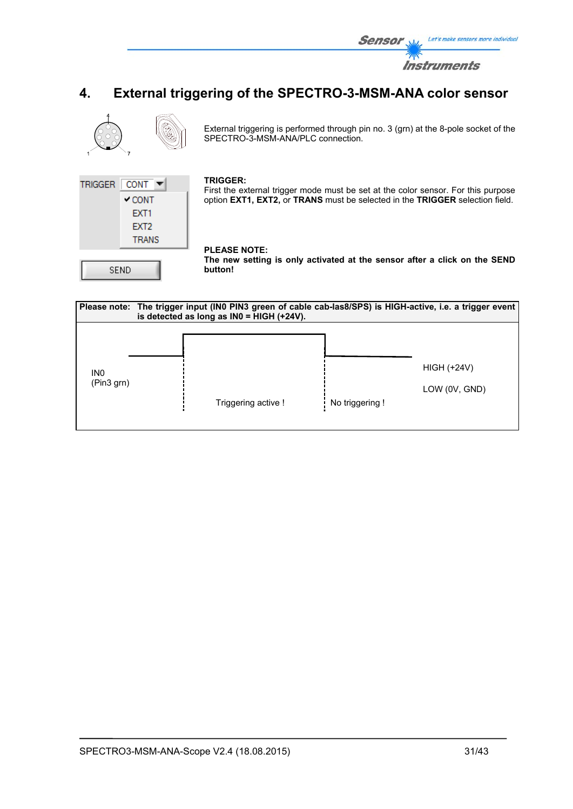

# **4. External triggering of the SPECTRO-3-MSM-ANA color sensor**



External triggering is performed through pin no. 3 (grn) at the 8-pole socket of the SPECTRO-3-MSM-ANA/PLC connection.



#### **TRIGGER:**

First the external trigger mode must be set at the color sensor. For this purpose option **EXT1, EXT2,** or **TRANS** must be selected in the **TRIGGER** selection field.

### **PLEASE NOTE:**

**The new setting is only activated at the sensor after a click on the SEND button!** 

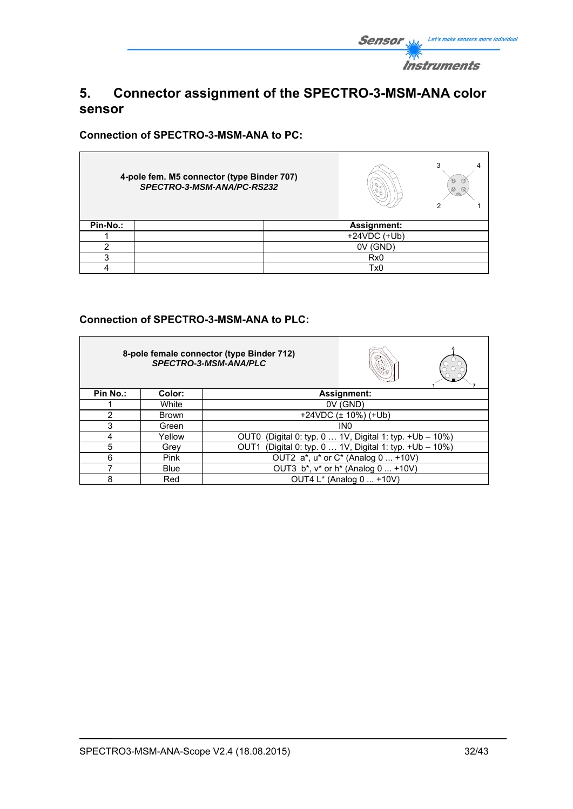

# **5. Connector assignment of the SPECTRO-3-MSM-ANA color sensor**

**Connection of SPECTRO-3-MSM-ANA to PC:** 

|          | 4-pole fem. M5 connector (type Binder 707)<br>SPECTRO-3-MSM-ANA/PC-RS232 |                 | 3<br>O<br>O<br>Ø<br>Q |
|----------|--------------------------------------------------------------------------|-----------------|-----------------------|
| Pin-No.: |                                                                          | Assignment:     |                       |
|          |                                                                          | $+24VDC$ (+Ub)  |                       |
|          |                                                                          | 0V (GND)        |                       |
| ◠        |                                                                          | Rx <sub>0</sub> |                       |
|          |                                                                          | Tx0             |                       |

### **Connection of SPECTRO-3-MSM-ANA to PLC:**

|          |             | 8-pole female connector (type Binder 712)<br>SPECTRO-3-MSM-ANA/PLC      |
|----------|-------------|-------------------------------------------------------------------------|
| Pin No.: | Color:      | Assignment:                                                             |
|          | White       | 0V (GND)                                                                |
| 2        | Brown       | $+24VDC$ ( $\pm$ 10%) ( $+Ub$ )                                         |
| 3        | Green       | IN <sub>0</sub>                                                         |
| 4        | Yellow      | (Digital 0: typ. 0  1V, Digital 1: typ. +Ub - 10%)<br>OUT0              |
| 5        | Grey        | (Digital 0: typ. 0  1V, Digital 1: typ. + Ub - 10%)<br>OUT <sub>1</sub> |
| 6        | <b>Pink</b> | OUT2 a*, u* or C* (Analog 0  +10V)                                      |
|          | <b>Blue</b> | OUT3 b*, v* or h* (Analog 0  +10V)                                      |
| 8        | Red         | OUT4 L* (Analog 0  +10V)                                                |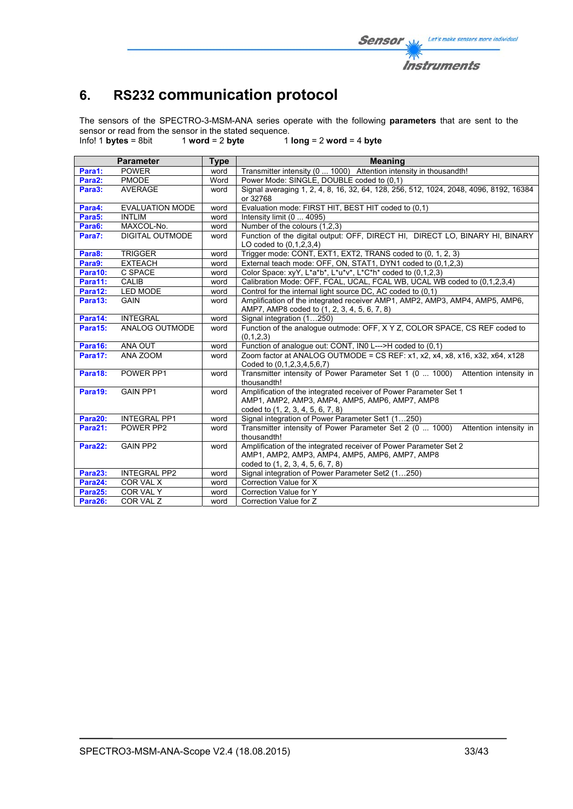# **6. RS232 communication protocol**

The sensors of the SPECTRO-3-MSM-ANA series operate with the following **parameters** that are sent to the sensor or read from the sensor in the stated sequence.<br>Info! 1 bytes = 8bit  $\frac{1}{2}$  word = 2 byte 1

Info! 1 **bytes** = 8bit 1 **word** = 2 **byte** 1 **long** = 2 **word** = 4 **byte**

|         | <b>Parameter</b>       | <b>Type</b> | <b>Meaning</b>                                                                                                                                           |  |  |  |  |  |  |
|---------|------------------------|-------------|----------------------------------------------------------------------------------------------------------------------------------------------------------|--|--|--|--|--|--|
| Para1:  | <b>POWER</b>           | word        | Transmitter intensity (0  1000) Attention intensity in thousandth!                                                                                       |  |  |  |  |  |  |
| Para2:  | <b>PMODE</b>           | Word        | Power Mode: SINGLE, DOUBLE coded to (0.1)                                                                                                                |  |  |  |  |  |  |
| Para3:  | <b>AVERAGE</b>         | word        | Signal averaging 1, 2, 4, 8, 16, 32, 64, 128, 256, 512, 1024, 2048, 4096, 8192, 16384<br>or 32768                                                        |  |  |  |  |  |  |
| Para4:  | <b>EVALUATION MODE</b> | word        | Evaluation mode: FIRST HIT, BEST HIT coded to (0,1)                                                                                                      |  |  |  |  |  |  |
| Para5:  | <b>INTLIM</b>          | word        | Intensity limit (0  4095)                                                                                                                                |  |  |  |  |  |  |
| Para6:  | MAXCOL-No.             | word        | Number of the colours (1,2,3)                                                                                                                            |  |  |  |  |  |  |
| Para7:  | <b>DIGITAL OUTMODE</b> | word        | Function of the digital output: OFF, DIRECT HI, DIRECT LO, BINARY HI, BINARY<br>LO coded to $(0,1,2,3,4)$                                                |  |  |  |  |  |  |
| Para8:  | <b>TRIGGER</b>         | word        | Trigger mode: CONT, EXT1, EXT2, TRANS coded to (0, 1, 2, 3)                                                                                              |  |  |  |  |  |  |
| Para9:  | <b>EXTEACH</b>         | word        | External teach mode: OFF, ON, STAT1, DYN1 coded to (0,1,2,3)                                                                                             |  |  |  |  |  |  |
| Para10: | C SPACE                | word        | Color Space: xyY, L*a*b*, L*u*v*, L*C*h* coded to (0,1,2,3)                                                                                              |  |  |  |  |  |  |
| Para11: | <b>CALIB</b>           | word        | Calibration Mode: OFF, FCAL, UCAL, FCAL WB, UCAL WB coded to (0,1,2,3,4)                                                                                 |  |  |  |  |  |  |
| Para12: | <b>LED MODE</b>        | word        | Control for the internal light source DC, AC coded to (0,1)                                                                                              |  |  |  |  |  |  |
| Para13: | <b>GAIN</b>            | word        | Amplification of the integrated receiver AMP1, AMP2, AMP3, AMP4, AMP5, AMP6,                                                                             |  |  |  |  |  |  |
|         |                        |             | AMP7, AMP8 coded to (1, 2, 3, 4, 5, 6, 7, 8)                                                                                                             |  |  |  |  |  |  |
| Para14: | <b>INTEGRAL</b>        | word        | Signal integration (1250)                                                                                                                                |  |  |  |  |  |  |
| Para15: | ANALOG OUTMODE         | word        | Function of the analogue outmode: OFF, X Y Z, COLOR SPACE, CS REF coded to<br>(0,1,2,3)                                                                  |  |  |  |  |  |  |
| Para16: | ANA OUT                | word        | Function of analogue out: CONT, IN0 L--->H coded to (0,1)                                                                                                |  |  |  |  |  |  |
| Para17: | ANA ZOOM               | word        | Zoom factor at ANALOG OUTMODE = CS REF: x1, x2, x4, x8, x16, x32, x64, x128<br>Coded to (0.1.2.3.4.5.6.7)                                                |  |  |  |  |  |  |
| Para18: | POWER PP1              | word        | Transmitter intensity of Power Parameter Set 1 (0  1000) Attention intensity in<br>thousandth!                                                           |  |  |  |  |  |  |
| Para19: | <b>GAIN PP1</b>        | word        | Amplification of the integrated receiver of Power Parameter Set 1<br>AMP1, AMP2, AMP3, AMP4, AMP5, AMP6, AMP7, AMP8<br>coded to (1, 2, 3, 4, 5, 6, 7, 8) |  |  |  |  |  |  |
| Para20: | <b>INTEGRAL PP1</b>    | word        | Signal integration of Power Parameter Set1 (1250)                                                                                                        |  |  |  |  |  |  |
| Para21: | POWER PP2              | word        | Transmitter intensity of Power Parameter Set 2 (0  1000)<br>Attention intensity in<br>thousandth!                                                        |  |  |  |  |  |  |
| Para22: | <b>GAIN PP2</b>        | word        | Amplification of the integrated receiver of Power Parameter Set 2<br>AMP1, AMP2, AMP3, AMP4, AMP5, AMP6, AMP7, AMP8                                      |  |  |  |  |  |  |
|         |                        |             | coded to (1, 2, 3, 4, 5, 6, 7, 8)                                                                                                                        |  |  |  |  |  |  |
| Para23: | <b>INTEGRAL PP2</b>    | word        | Signal integration of Power Parameter Set2 (1250)                                                                                                        |  |  |  |  |  |  |
| Para24: | COR VAL X              | word        | Correction Value for X                                                                                                                                   |  |  |  |  |  |  |
| Para25: | COR VAL Y              | word        | Correction Value for Y                                                                                                                                   |  |  |  |  |  |  |
| Para26: | COR VAL Z              | word        | Correction Value for Z                                                                                                                                   |  |  |  |  |  |  |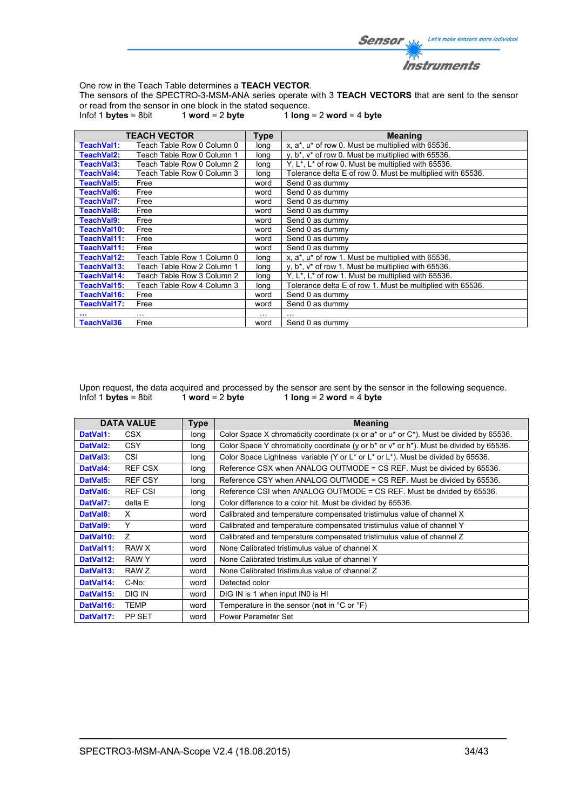

One row in the Teach Table determines a **TEACH VECTOR**.

The sensors of the SPECTRO-3-MSM-ANA series operate with 3 **TEACH VECTORS** that are sent to the sensor or read from the sensor in one block in the stated sequence.<br>Info! 1 **bytes** = 8bit  $1$  **word** = 2 **byte**  $1$  **long** 

 $1$  word = 2 byte  $1$   $\log$  = 2 word = 4 byte

|             | <b>TEACH VECTOR</b>        | Type     | <b>Meaning</b>                                                              |
|-------------|----------------------------|----------|-----------------------------------------------------------------------------|
| TeachVal1:  | Teach Table Row 0 Column 0 | long     | x, a*, u* of row 0. Must be multiplied with 65536.                          |
| TeachVal2:  | Teach Table Row 0 Column 1 | long     | y, b <sup>*</sup> , v <sup>*</sup> of row 0. Must be multiplied with 65536. |
| TeachVal3:  | Teach Table Row 0 Column 2 | long     | Y, L <sup>*</sup> , L <sup>*</sup> of row 0. Must be multiplied with 65536. |
| TeachVal4:  | Teach Table Row 0 Column 3 | long     | Tolerance delta E of row 0. Must be multiplied with 65536.                  |
| TeachVal5:  | Free                       | word     | Send 0 as dummy                                                             |
| TeachVal6:  | Free                       | word     | Send 0 as dummy                                                             |
| TeachVal7:  | Free                       | word     | Send 0 as dummy                                                             |
| TeachVal8:  | Free                       | word     | Send 0 as dummy                                                             |
| TeachVal9:  | Free                       | word     | Send 0 as dummy                                                             |
| TeachVal10: | Free                       | word     | Send 0 as dummy                                                             |
| TeachVal11: | Free                       | word     | Send 0 as dummy                                                             |
| TeachVal11: | Free                       | word     | Send 0 as dummy                                                             |
| TeachVal12: | Teach Table Row 1 Column 0 | long     | x, a*, u* of row 1. Must be multiplied with 65536.                          |
| TeachVal13: | Teach Table Row 2 Column 1 | long     | $y, b^*$ , $v^*$ of row 1. Must be multiplied with 65536.                   |
| TeachVal14: | Teach Table Row 3 Column 2 | long     | Y, L <sup>*</sup> , L <sup>*</sup> of row 1. Must be multiplied with 65536. |
| TeachVal15: | Teach Table Row 4 Column 3 | long     | Tolerance delta E of row 1. Must be multiplied with 65536.                  |
| TeachVal16: | Free                       | word     | Send 0 as dummy                                                             |
| TeachVal17: | Free                       | word     | Send 0 as dummy                                                             |
|             | $\cdots$                   | $\cdots$ |                                                                             |
| TeachVal36  | Free                       | word     | Send 0 as dummy                                                             |

Upon request, the data acquired and processed by the sensor are sent by the sensor in the following sequence.<br>Info! 1 bytes = 8bit 1 word = 2 byte 1 long = 2 word = 4 byte  $1$  **long** = 2 **word** =  $\frac{1}{4}$  **byte** 

|                       | <b>DATA VALUE</b> | <b>Type</b> | <b>Meaning</b>                                                                                   |
|-----------------------|-------------------|-------------|--------------------------------------------------------------------------------------------------|
| DatVal1:              | CSX.              | long        | Color Space X chromaticity coordinate (x or a* or u* or C*). Must be divided by 65536.           |
| DatVal <sub>2</sub> : | <b>CSY</b>        | long        | Color Space Y chromaticity coordinate (y or $b^*$ or $v^*$ or $h^*$ ). Must be divided by 65536. |
| DatVal3:              | CSI               | long        | Color Space Lightness variable (Y or L* or L* or L*). Must be divided by 65536.                  |
| DatVal4:              | <b>REF CSX</b>    | long        | Reference CSX when ANALOG OUTMODE = CS REF. Must be divided by 65536.                            |
| DatVal5:              | <b>REF CSY</b>    | long        | Reference CSY when ANALOG OUTMODE = CS REF. Must be divided by 65536.                            |
| DatVal6:              | <b>REF CSI</b>    | long        | Reference CSI when ANALOG OUTMODE = CS REF. Must be divided by 65536.                            |
| DatVal7:              | delta E           | long        | Color difference to a color hit. Must be divided by 65536.                                       |
| DatVal8:              | X                 | word        | Calibrated and temperature compensated tristimulus value of channel X                            |
| DatVal9:              | Υ                 | word        | Calibrated and temperature compensated tristimulus value of channel Y                            |
| DatVal10:             | Z                 | word        | Calibrated and temperature compensated tristimulus value of channel Z                            |
| DatVal11:             | RAW X             | word        | None Calibrated tristimulus value of channel X                                                   |
| DatVal12:             | RAW Y             | word        | None Calibrated tristimulus value of channel Y                                                   |
| DatVal13:             | RAW Z             | word        | None Calibrated tristimulus value of channel Z                                                   |
| DatVal14:             | C-No:             | word        | Detected color                                                                                   |
| DatVal15:             | DIG IN            | word        | DIG IN is 1 when input IN0 is HI                                                                 |
| DatVal16:             | TEMP              | word        | Temperature in the sensor (not in $^{\circ}$ C or $^{\circ}$ F)                                  |
| DatVal17:             | PP SET            | word        | Power Parameter Set                                                                              |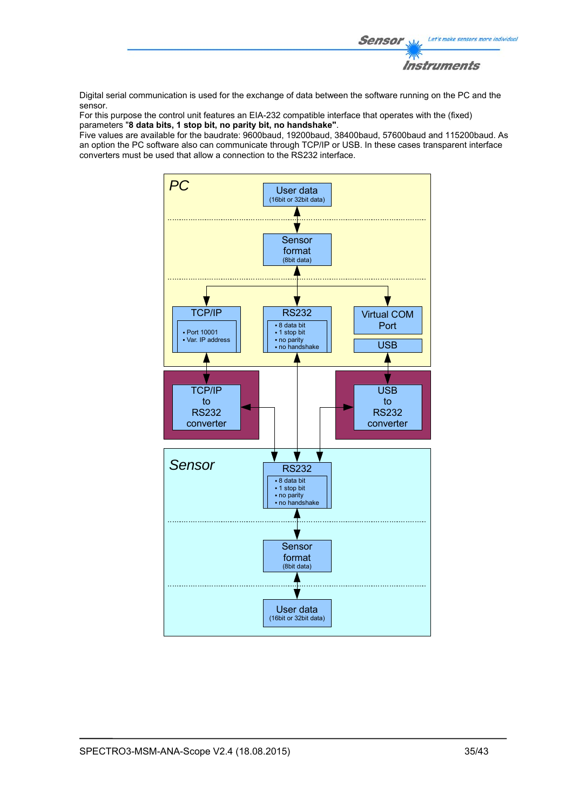

Digital serial communication is used for the exchange of data between the software running on the PC and the sensor.

For this purpose the control unit features an EIA-232 compatible interface that operates with the (fixed) parameters "**8 data bits, 1 stop bit, no parity bit, no handshake"**.

Five values are available for the baudrate: 9600baud, 19200baud, 38400baud, 57600baud and 115200baud. As an option the PC software also can communicate through TCP/IP or USB. In these cases transparent interface converters must be used that allow a connection to the RS232 interface.

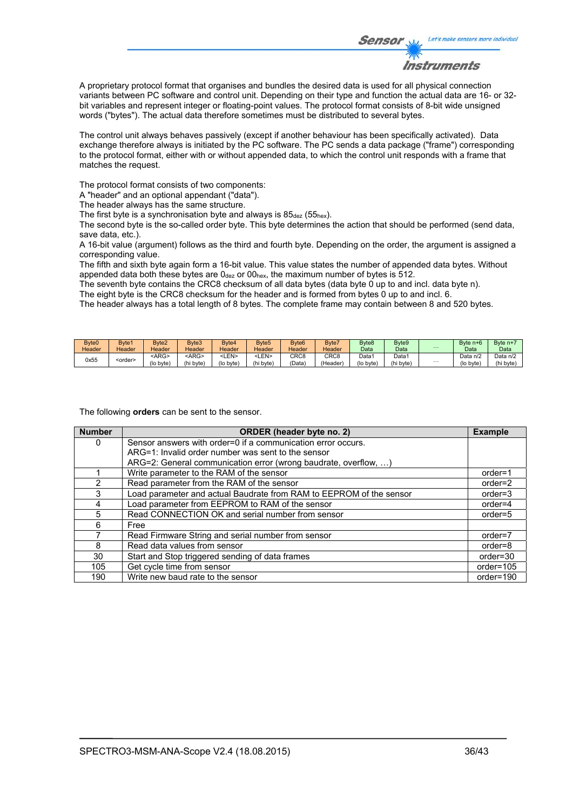

A proprietary protocol format that organises and bundles the desired data is used for all physical connection variants between PC software and control unit. Depending on their type and function the actual data are 16- or 32 bit variables and represent integer or floating-point values. The protocol format consists of 8-bit wide unsigned words ("bytes"). The actual data therefore sometimes must be distributed to several bytes.

The control unit always behaves passively (except if another behaviour has been specifically activated). Data exchange therefore always is initiated by the PC software. The PC sends a data package ("frame") corresponding to the protocol format, either with or without appended data, to which the control unit responds with a frame that matches the request.

The protocol format consists of two components:

A "header" and an optional appendant ("data").

The header always has the same structure.

The first byte is a synchronisation byte and always is  $85_{\text{dez}}$  (55<sub>hex</sub>).

The second byte is the so-called order byte. This byte determines the action that should be performed (send data, save data, etc.).

A 16-bit value (argument) follows as the third and fourth byte. Depending on the order, the argument is assigned a corresponding value.

The fifth and sixth byte again form a 16-bit value. This value states the number of appended data bytes. Without appended data both these bytes are  $0_{\text{dez}}$  or  $00_{\text{hex}}$ , the maximum number of bytes is 512.

The seventh byte contains the CRC8 checksum of all data bytes (data byte 0 up to and incl. data byte n).

The eight byte is the CRC8 checksum for the header and is formed from bytes 0 up to and incl. 6.

The header always has a total length of 8 bytes. The complete frame may contain between 8 and 520 bytes.

| Byte <sub>0</sub> | Byte1           | Byte2       | Byte3         | Bvte4       | Byte <sub>5</sub> | Byte <sub>6</sub> | Byte7            | Byte <sub>8</sub> | Byte <sub>9</sub> |          | Byte n+6  | Byte n+  |
|-------------------|-----------------|-------------|---------------|-------------|-------------------|-------------------|------------------|-------------------|-------------------|----------|-----------|----------|
| Header            | Header          | Header      | <b>Header</b> | Header      | Header            | Header            | Header           | Data              | Data              | $\cdots$ | Data      | Data     |
| 0x55              | <order></order> | <arg></arg> | <arg></arg>   | <len></len> | ∟EN>              | CRC <sub>8</sub>  | CRC <sub>8</sub> | Data1             | Data <sup>1</sup> |          | Data n/2  | Data n/2 |
|                   |                 | (lo byte)   | (hi byte)     | (lo byte)   | (hi byte)         | 'Data             | (Header)         | (lo byte)         | (hi byte)         | $\cdots$ | (lo byte) | (hi byte |

The following **orders** can be sent to the sensor.

| <b>Number</b> | ORDER (header byte no. 2)                                           | <b>Example</b> |
|---------------|---------------------------------------------------------------------|----------------|
| 0             | Sensor answers with order=0 if a communication error occurs.        |                |
|               | ARG=1: Invalid order number was sent to the sensor                  |                |
|               | ARG=2: General communication error (wrong baudrate, overflow, )     |                |
|               | Write parameter to the RAM of the sensor                            | $order=1$      |
| $\mathcal{P}$ | Read parameter from the RAM of the sensor                           | $order=2$      |
| 3             | Load parameter and actual Baudrate from RAM to EEPROM of the sensor | $order = 3$    |
| 4             | Load parameter from EEPROM to RAM of the sensor                     | $order=4$      |
| 5             | Read CONNECTION OK and serial number from sensor                    | $order=5$      |
| 6             | Free                                                                |                |
|               | Read Firmware String and serial number from sensor                  | order=7        |
| 8             | Read data values from sensor                                        | order=8        |
| 30            | Start and Stop triggered sending of data frames                     | $order = 30$   |
| 105           | Get cycle time from sensor                                          | order=105      |
| 190           | Write new baud rate to the sensor                                   | order=190      |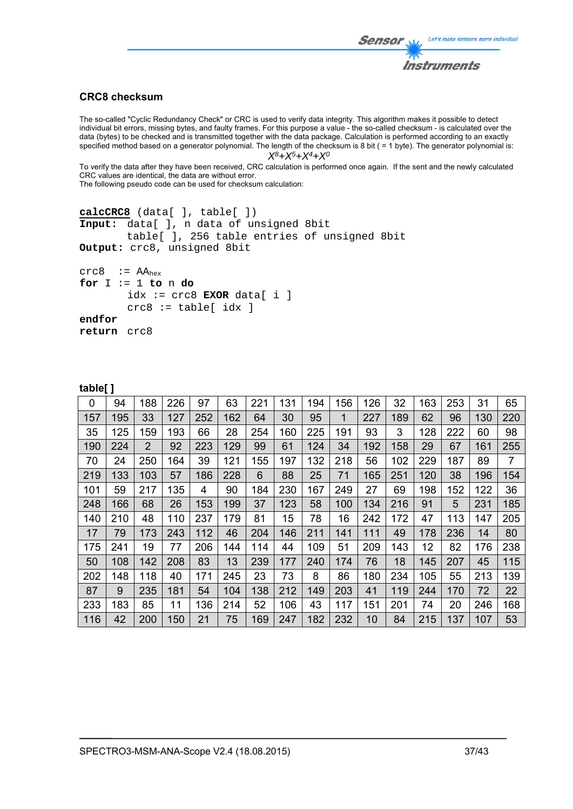### Let's make sensors more individual Sensor Instruments

### **CRC8 checksum**

The so-called "Cyclic Redundancy Check" or CRC is used to verify data integrity. This algorithm makes it possible to detect individual bit errors, missing bytes, and faulty frames. For this purpose a value - the so-called checksum - is calculated over the data (bytes) to be checked and is transmitted together with the data package. Calculation is performed according to an exactly specified method based on a generator polynomial. The length of the checksum is 8 bit ( = 1 byte). The generator polynomial is: *X8+X5+X4+X0*

To verify the data after they have been received, CRC calculation is performed once again. If the sent and the newly calculated CRC values are identical, the data are without error.

The following pseudo code can be used for checksum calculation:

```
calcCRC8 (data[ ], table[ ]) 
Input: data[ ], n data of unsigned 8bit 
         table[ ], 256 table entries of unsigned 8bit 
Output: crc8, unsigned 8bit 
crc8 := AA_{hex}for I := 1 to n do 
        idx := crc8 EXOR data[ i ] 
         crc8 := table[ idx ]
```
**table[ ]** 

**return** crc8

**endfor** 

|     | . . |     |     |     |     |     |     |     |     |     |     |     |     |     |                |
|-----|-----|-----|-----|-----|-----|-----|-----|-----|-----|-----|-----|-----|-----|-----|----------------|
| 0   | 94  | 188 | 226 | 97  | 63  | 221 | 131 | 194 | 156 | 126 | 32  | 163 | 253 | 31  | 65             |
| 157 | 195 | 33  | 127 | 252 | 162 | 64  | 30  | 95  | 1   | 227 | 189 | 62  | 96  | 130 | 220            |
| 35  | 125 | 159 | 193 | 66  | 28  | 254 | 160 | 225 | 191 | 93  | 3   | 128 | 222 | 60  | 98             |
| 190 | 224 | 2   | 92  | 223 | 129 | 99  | 61  | 124 | 34  | 192 | 158 | 29  | 67  | 161 | 255            |
| 70  | 24  | 250 | 164 | 39  | 121 | 155 | 197 | 132 | 218 | 56  | 102 | 229 | 187 | 89  | $\overline{7}$ |
| 219 | 133 | 103 | 57  | 186 | 228 | 6   | 88  | 25  | 71  | 165 | 251 | 120 | 38  | 196 | 154            |
| 101 | 59  | 217 | 135 | 4   | 90  | 184 | 230 | 167 | 249 | 27  | 69  | 198 | 152 | 122 | 36             |
| 248 | 166 | 68  | 26  | 153 | 199 | 37  | 123 | 58  | 100 | 134 | 216 | 91  | 5   | 231 | 185            |
| 140 | 210 | 48  | 110 | 237 | 179 | 81  | 15  | 78  | 16  | 242 | 172 | 47  | 113 | 147 | 205            |
| 17  | 79  | 173 | 243 | 112 | 46  | 204 | 146 | 211 | 141 | 111 | 49  | 178 | 236 | 14  | 80             |
| 175 | 241 | 19  | 77  | 206 | 144 | 114 | 44  | 109 | 51  | 209 | 143 | 12  | 82  | 176 | 238            |
| 50  | 108 | 142 | 208 | 83  | 13  | 239 | 177 | 240 | 174 | 76  | 18  | 145 | 207 | 45  | 115            |
| 202 | 148 | 118 | 40  | 171 | 245 | 23  | 73  | 8   | 86  | 180 | 234 | 105 | 55  | 213 | 139            |
| 87  | 9   | 235 | 181 | 54  | 104 | 138 | 212 | 149 | 203 | 41  | 119 | 244 | 170 | 72  | 22             |
| 233 | 183 | 85  | 11  | 136 | 214 | 52  | 106 | 43  | 117 | 151 | 201 | 74  | 20  | 246 | 168            |
| 116 | 42  | 200 | 150 | 21  | 75  | 169 | 247 | 182 | 232 | 10  | 84  | 215 | 137 | 107 | 53             |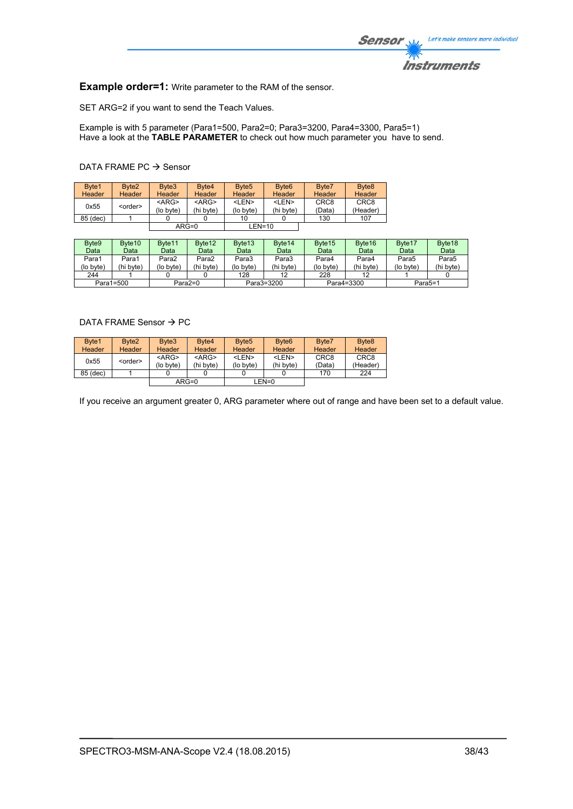

**Example order=1:** Write parameter to the RAM of the sensor.

SET ARG=2 if you want to send the Teach Values.

Example is with 5 parameter (Para1=500, Para2=0; Para3=3200, Para4=3300, Para5=1) Have a look at the **TABLE PARAMETER** to check out how much parameter you have to send.

### DATA FRAME PC  $\rightarrow$  Sensor

| Byte1<br><b>Header</b> | Byte <sub>2</sub><br><b>Header</b> | Byte3<br>Header          | Byte4<br><b>Header</b>   | Byte <sub>5</sub><br>Header | Byte <sub>6</sub><br><b>Header</b> | Byte7<br>Header            | Byte <sub>8</sub><br><b>Header</b> |
|------------------------|------------------------------------|--------------------------|--------------------------|-----------------------------|------------------------------------|----------------------------|------------------------------------|
| 0x55                   | <order></order>                    | $<$ ARG $>$<br>(lo byte) | $<$ ARG $>$<br>(hi byte) | <len><br/>(lo byte)</len>   | <len><br/>(hi byte)</len>          | CRC <sub>8</sub><br>(Data) | CRC <sub>8</sub><br>(Header)       |
| 85 (dec)               |                                    |                          |                          | 10                          |                                    | 130                        | 107                                |
|                        |                                    |                          | $ARG=0$                  | $LEN=10$                    |                                    |                            |                                    |

| Byte9     | Byte <sub>10</sub> | Byte <sub>11</sub> | Byte <sub>12</sub> | Byte <sub>13</sub> | Byte <sub>14</sub> | Byte <sub>15</sub> | Byte <sub>16</sub> | Byte <sub>17</sub> | Byte <sub>18</sub> |
|-----------|--------------------|--------------------|--------------------|--------------------|--------------------|--------------------|--------------------|--------------------|--------------------|
| Data      | Data               | Datal              | Data               | Data               | Data               | Data               | Data               | Data               | Data               |
| Para1     | Para1              | Para2              | Para2              | Para3              | Para3              | Para4              | Para4              | Para5              | Para5              |
| (lo byte) | (hi bvte)          | (lo bvte)          | (hi byte)          | (lo byte)          | (hi byte)          | (lo bvte)          | (hi byte)          | (lo byte)          | (hi byte)          |
| 244       |                    |                    |                    | 128                | 12                 | 228                |                    |                    |                    |
| Para1=500 |                    |                    | Para2=0            |                    | Para3=3200         | Para4=3300         |                    | Para5=1            |                    |

### DATA FRAME Sensor  $\rightarrow$  PC

| Byte1    | Byte <sub>2</sub> | Byte3     | Byte4     | Byte <sub>5</sub> | Byte <sub>6</sub> | Byte7            | Byte <sub>8</sub> |
|----------|-------------------|-----------|-----------|-------------------|-------------------|------------------|-------------------|
| Header   | <b>Header</b>     | Header    | Header    | Header            | Header            | Header           | <b>Header</b>     |
| 0x55     | <order></order>   | $<$ ARG>  | $<$ ARG>  | <len></len>       | <len></len>       | CRC <sub>8</sub> | CRC <sub>8</sub>  |
|          |                   | (lo byte) | (hi byte) | (lo byte)         | (hi byte)         | (Data)           | (Header)          |
| 85 (dec) |                   |           |           |                   |                   | 170              | 224               |
|          |                   |           | $ARG=0$   |                   | LEN=0             |                  |                   |

If you receive an argument greater 0, ARG parameter where out of range and have been set to a default value.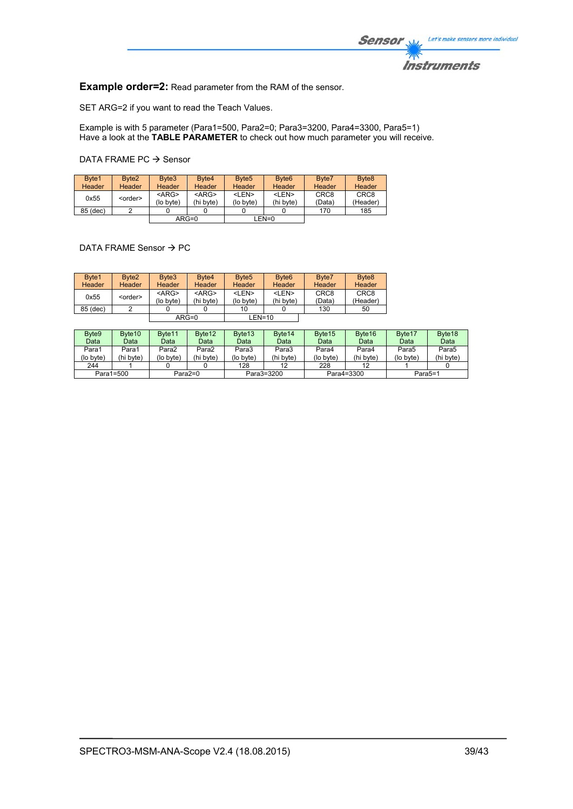

**Example order=2:** Read parameter from the RAM of the sensor.

SET ARG=2 if you want to read the Teach Values.

Example is with 5 parameter (Para1=500, Para2=0; Para3=3200, Para4=3300, Para5=1) Have a look at the **TABLE PARAMETER** to check out how much parameter you will receive.

DATA FRAME PC  $\rightarrow$  Sensor

| Byte1<br>Header | Byte <sub>2</sub><br>Header | Byte3<br>Header       | Byte <sub>4</sub><br><b>Header</b> | Byte <sub>5</sub><br>Header | Byte <sub>6</sub><br><b>Header</b> | Byte7<br>Header            | Byte <sub>8</sub><br>Header  |
|-----------------|-----------------------------|-----------------------|------------------------------------|-----------------------------|------------------------------------|----------------------------|------------------------------|
| 0x55            | <order></order>             | $<$ ARG><br>(lo byte) | $<$ ARG><br>(hi byte)              | <len><br/>(lo byte)</len>   | <len><br/>(hi bvte)</len>          | CRC <sub>8</sub><br>(Data) | CRC <sub>8</sub><br>(Header) |
| 85 (dec)        |                             |                       |                                    |                             |                                    | 170                        | 185                          |
| $ARG=0$         |                             |                       |                                    | LEN=0                       |                                    |                            |                              |

DATA FRAME Sensor  $\rightarrow$  PC

| Byte1<br><b>Header</b> | Byte <sub>2</sub><br><b>Header</b> | Byte3<br>Header          | Byte <sub>4</sub><br><b>Header</b> | Byte <sub>5</sub><br>Header | Byte <sub>6</sub><br><b>Header</b> | Byte7<br>Header            | Byte <sub>8</sub><br>Header  |
|------------------------|------------------------------------|--------------------------|------------------------------------|-----------------------------|------------------------------------|----------------------------|------------------------------|
| 0x55                   | <order></order>                    | $<$ ARG $>$<br>(lo byte) | $<$ ARG $>$<br>(hi byte)           | <len><br/>(lo byte)</len>   | <len><br/>(hi byte)</len>          | CRC <sub>8</sub><br>(Data) | CRC <sub>8</sub><br>(Header) |
| 85 (dec)               |                                    |                          |                                    | 10                          |                                    | 130                        | 50                           |
|                        |                                    | $ARG=0$                  |                                    | $LEN=10$                    |                                    |                            |                              |

| Byte <sub>9</sub>      | Byte <sub>10</sub> | Byte <sub>11</sub> | Byte <sub>12</sub> | Byte <sub>13</sub> | Byte <sub>14</sub> | Byte <sub>15</sub>   | Byte <sub>16</sub> | Byte <sub>17</sub> | Byte <sub>18</sub> |
|------------------------|--------------------|--------------------|--------------------|--------------------|--------------------|----------------------|--------------------|--------------------|--------------------|
| Data                   | Data               | Data               | Data               | Data               | Data               | Data                 | Data               | Data               | Data               |
| Para1                  | Para1              | Para2              | Para2              | Para3              | Para3              | Para4                | Para4              | Para5              | Para5              |
| (lo byte)              | (hi byte)          | (lo byte)          | (hi byte)          | (lo byte)          | (hi byte)          | (lo byte)            | (hi byte)          | (lo byte)          | (hi byte)          |
| 244                    |                    |                    |                    | 128                | 12                 | 228                  |                    |                    |                    |
| Para1=500<br>$Para2=0$ |                    | Para3=3200         |                    | Para4=3300         |                    | Para <sub>5</sub> =1 |                    |                    |                    |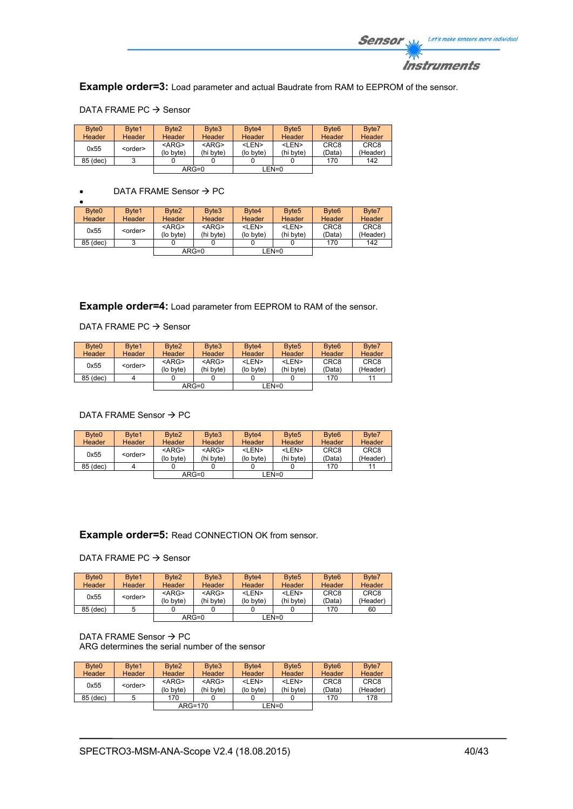

**Example order=3:** Load parameter and actual Baudrate from RAM to EEPROM of the sensor.

| Byte <sub>0</sub> | Byte1           | Byte2     | Byte3       | Byte4       | Byte <sub>5</sub> | Byte <sub>6</sub> | Byte7            |
|-------------------|-----------------|-----------|-------------|-------------|-------------------|-------------------|------------------|
| <b>Header</b>     | <b>Header</b>   | Header    | Header      | Header      | Header            | Header            | Header           |
| 0x55              |                 | $<$ ARG>  | $<$ ARG $>$ | <len></len> | <len></len>       | CRC <sub>8</sub>  | CRC <sub>8</sub> |
|                   | <order></order> | (lo byte) | (hi byte)   | (lo byte)   | (hi byte)         | (Data)            | (Header)         |
| 85 (dec)          |                 |           |             |             |                   | 170               | 142              |
|                   |                 |           | $ARG=0$     |             | $LEN=0$           |                   |                  |

#### DATA FRAME PC  $\rightarrow$  Sensor

### $\bullet$  DATA FRAME Sensor  $\rightarrow$  PC

| Byte <sub>0</sub> | Byte1           | Byte <sub>2</sub> | Byte <sub>3</sub> | Byte4         | Byte <sub>5</sub> | Byte <sub>6</sub> | Byte7            |
|-------------------|-----------------|-------------------|-------------------|---------------|-------------------|-------------------|------------------|
| Header            | Header          | Header            | Header            | <b>Header</b> | <b>Header</b>     | Header            | Header           |
| 0x55              | <order></order> | $<$ ARG>          | $<$ ARG $>$       | <len></len>   | <len></len>       | CRC <sub>8</sub>  | CRC <sub>8</sub> |
|                   |                 | (lo byte)         | (hi byte)         | (lo byte)     | (hi byte)         | (Data)            | (Header)         |
| 85 (dec)          |                 |                   |                   |               |                   | 170               | 142              |
|                   |                 |                   | $ARG=0$           |               | LEN=0             |                   |                  |

**Example order=4:** Load parameter from EEPROM to RAM of the sensor.

### DATA FRAME PC  $\rightarrow$  Sensor

| Byte <sub>0</sub> | Byte1           | Byte <sub>2</sub>     | Byte3                    | Byte4                     | Byte <sub>5</sub>         | Byte <sub>6</sub>          | Byte7                        |
|-------------------|-----------------|-----------------------|--------------------------|---------------------------|---------------------------|----------------------------|------------------------------|
| <b>Header</b>     | Header          | Header                | Header                   | <b>Header</b>             | Header                    | Header                     | Header                       |
| 0x55              | <order></order> | $<$ ARG><br>(lo byte) | $<$ ARG $>$<br>(hi byte) | <len><br/>(lo byte)</len> | <len><br/>(hi byte)</len> | CRC <sub>8</sub><br>(Data) | CRC <sub>8</sub><br>(Header) |
| 85 (dec)          |                 |                       |                          |                           |                           | 170                        | 11                           |
|                   |                 |                       | $ARG=0$                  |                           | LEN=0                     |                            |                              |

#### DATA FRAME Sensor  $\rightarrow$  PC

| Byte <sub>0</sub> | Byte1           | Byte <sub>2</sub>        | Byte3                    | Byte4                     | Byte <sub>5</sub>         | Byte <sub>6</sub>          | Byte7                        |
|-------------------|-----------------|--------------------------|--------------------------|---------------------------|---------------------------|----------------------------|------------------------------|
| Header            | <b>Header</b>   | <b>Header</b>            | <b>Header</b>            | <b>Header</b>             | <b>Header</b>             | Header                     | Header                       |
| 0x55              | <order></order> | $<$ ARG $>$<br>(lo byte) | $<$ ARG $>$<br>(hi byte) | <len><br/>(lo byte)</len> | <len><br/>(hi byte)</len> | CRC <sub>8</sub><br>(Data) | CRC <sub>8</sub><br>(Header) |
| 85 (dec)          |                 |                          |                          |                           |                           | 170                        |                              |
|                   |                 | $ARG=0$                  |                          |                           | LEN=0                     |                            |                              |

### **Example order=5:** Read CONNECTION OK from sensor.

#### DATA FRAME PC  $\rightarrow$  Sensor

| Byte <sub>0</sub><br><b>Header</b> | Byte1<br>Header | Byte <sub>2</sub><br><b>Header</b> | Byte3<br>Header          | Byte4<br><b>Header</b>    | Byte <sub>5</sub><br><b>Header</b> | Byte <sub>6</sub><br><b>Header</b> | Byte7<br>Header              |
|------------------------------------|-----------------|------------------------------------|--------------------------|---------------------------|------------------------------------|------------------------------------|------------------------------|
| 0x55                               | <order></order> | $<$ ARG $>$<br>(lo byte)           | $<$ ARG $>$<br>(hi byte) | <len><br/>(lo byte)</len> | <len><br/>(hi byte)</len>          | CRC <sub>8</sub><br>(Data)         | CRC <sub>8</sub><br>(Header) |
| 85 (dec)                           |                 |                                    |                          |                           |                                    | 170                                | 60                           |
|                                    |                 |                                    | $ARG=0$                  |                           | LEN=0                              |                                    |                              |

#### DATA FRAME Sensor  $\rightarrow$  PC ARG determines the serial number of the sensor

| Byte <sub>0</sub> | Byte1           | Byte <sub>2</sub> | Byte3       | Byte4       | Byte <sub>5</sub> | Byte <sub>6</sub> | Byte7            |
|-------------------|-----------------|-------------------|-------------|-------------|-------------------|-------------------|------------------|
| <b>Header</b>     | Header          | <b>Header</b>     | Header      | Header      | <b>Header</b>     | Header            | Header           |
| 0x55              | <order></order> | $<$ ARG $>$       | $<$ ARG $>$ | <len></len> | <len></len>       | CRC <sub>8</sub>  | CRC <sub>8</sub> |
|                   |                 | (lo byte)         | (hi byte)   | (lo byte)   | (hi byte)         | (Data)            | (Header)         |
| 85 (dec)          |                 | 170               |             |             |                   | 170               | 178              |
|                   |                 | $ARG=170$         |             | $LEN=0$     |                   |                   |                  |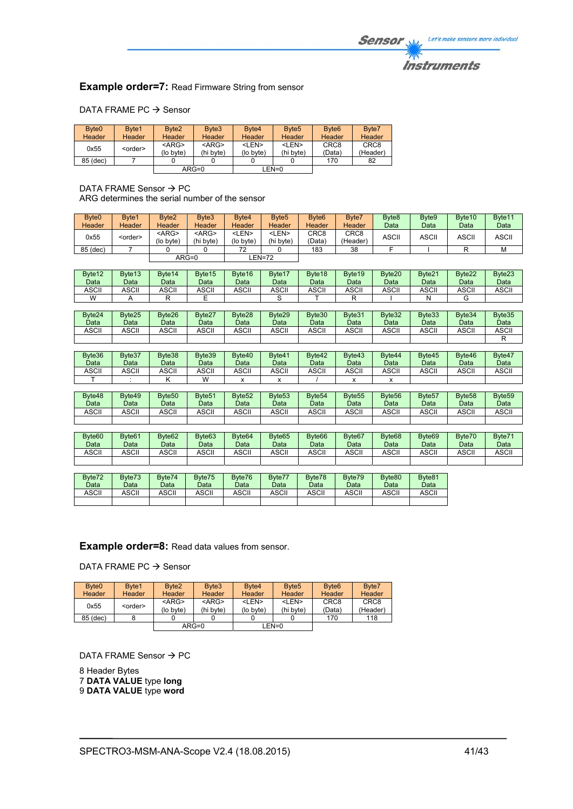### **Instruments**

### **Example order=7: Read Firmware String from sensor**

#### DATA FRAME PC  $\rightarrow$  Sensor

| Byte <sub>0</sub><br>Header | Byte1<br>Header | Byte <sub>2</sub><br><b>Header</b> | Byte3<br>Header          | Byte4<br><b>Header</b>    | Byte <sub>5</sub><br><b>Header</b> | Byte <sub>6</sub><br>Header | Byte7<br>Header              |
|-----------------------------|-----------------|------------------------------------|--------------------------|---------------------------|------------------------------------|-----------------------------|------------------------------|
| 0x55                        | <order></order> | $<$ ARG $>$<br>(lo byte)           | $<$ ARG $>$<br>(hi byte) | <len><br/>(lo byte)</len> | <len><br/>(hi byte)</len>          | CRC <sub>8</sub><br>(Data)  | CRC <sub>8</sub><br>(Header) |
| 85 (dec)                    |                 |                                    |                          |                           |                                    | 170                         | 82                           |
|                             |                 |                                    | $ARG=0$                  | LEN=0                     |                                    |                             |                              |

DATA FRAME Sensor  $\rightarrow$  PC ARG determines the serial number of the sensor

| Byte <sub>0</sub><br>Header | Byte1<br><b>Header</b> | Byte2<br><b>Header</b>    | Byte3<br><b>Header</b>    | Byte4<br>Header           | Byte <sub>5</sub><br>Header | Byte <sub>6</sub><br>Header | Byte7<br>Header              | Byte <sub>8</sub><br>Data | Byte9<br>Data | Byte <sub>10</sub><br>Data | Byte11<br>Data |
|-----------------------------|------------------------|---------------------------|---------------------------|---------------------------|-----------------------------|-----------------------------|------------------------------|---------------------------|---------------|----------------------------|----------------|
| 0x55                        | <order></order>        | <arg><br/>(lo byte)</arg> | <arg><br/>(hi byte)</arg> | <len><br/>(lo byte)</len> | <len><br/>(hi byte)</len>   | CRC <sub>8</sub><br>(Data)  | CRC <sub>8</sub><br>(Header) | <b>ASCII</b>              | <b>ASCII</b>  | <b>ASCII</b>               | <b>ASCII</b>   |
| 85 (dec)                    |                        |                           |                           | 72                        |                             | 183                         | 38                           |                           |               |                            | M              |
|                             |                        |                           | $ARG=0$                   |                           | EN=72-                      |                             |                              |                           |               |                            |                |

| Byte <sub>12</sub> | Byte <sub>13</sub> | Byte <sub>14</sub> | Byte15 | Byte16 | Byte17 | Byte <sub>18</sub> | Byte <sub>19</sub> | Byte <sub>20</sub> | Byte21 | Byte22 | Byte23 |
|--------------------|--------------------|--------------------|--------|--------|--------|--------------------|--------------------|--------------------|--------|--------|--------|
| Data               | Data               | Data               | Data   | Data   | Data   | Data               | Data               | Data               | Data   | Data   | Data   |
| ASCII              | <b>ASCII</b>       | <b>ASCII</b>       | ASCII  | ASCII  | ASCII  | ASCII              | ASCII              | ASCII              | ASCII  | ASCII  | ASCII  |
| W                  |                    |                    |        |        |        |                    |                    |                    |        |        |        |

| Byte24<br>Data | Byte25<br>Data | Byte26<br>Data | Byte27<br>Data | Byte28<br>Data | Byte29<br>Data | Byte30<br>Data | Byte31<br>Data | Byte32<br>Data | Byte33<br>Data | Byte34<br>Data | Byte35<br>Data |
|----------------|----------------|----------------|----------------|----------------|----------------|----------------|----------------|----------------|----------------|----------------|----------------|
| <b>ASCII</b>   | <b>ASCII</b>   | <b>ASCII</b>   | <b>ASCII</b>   | <b>ASCII</b>   | <b>ASCII</b>   | <b>ASCII</b>   | ASCII          | ASCII          | ASCII          | ASCII          | ASCII          |
|                |                |                |                |                |                |                |                |                |                |                |                |

| Byte36<br>Data | Byte37<br>Data | Byte38<br>Data | Byte39<br>Data | Byte40<br>Data | Byte41<br>Data | Byte42<br>Data | Byte43<br>Data | Byte44<br>Data | Byte45<br>Data | Byte46<br>Data | Byte47<br>Data |
|----------------|----------------|----------------|----------------|----------------|----------------|----------------|----------------|----------------|----------------|----------------|----------------|
| ASCII          | ASCII          | ASCII          | ASCII          | <b>ASCII</b>   | ASCII          | <b>ASCII</b>   | <b>ASCII</b>   | ASCII          | ASCII          | ASCII          | ASCII          |
|                |                |                | W              |                |                |                |                |                |                |                |                |

| Byte48<br>Data | Byte49<br>Data | Byte <sub>50</sub><br>Data | Byte <sub>51</sub><br>Data | Byte <sub>52</sub><br>Data | Byte <sub>53</sub><br>Data | Byte <sub>54</sub><br>Data | Byte <sub>55</sub><br>Data | Byte <sub>56</sub><br>Data | Byte <sub>57</sub><br>Data | Byte <sub>58</sub><br>Data | Byte <sub>59</sub><br>Data |
|----------------|----------------|----------------------------|----------------------------|----------------------------|----------------------------|----------------------------|----------------------------|----------------------------|----------------------------|----------------------------|----------------------------|
| ASCII          | ASCII          | ASCII                      | <b>ASCII</b>               | ASCII                      | ASCII                      | <b>ASCII</b>               | ASCII                      | ASCII                      | ASCII                      | ASCII                      | ASCII                      |
|                |                |                            |                            |                            |                            |                            |                            |                            |                            |                            |                            |

| Byte <sub>60</sub><br>Data | Byte <sub>61</sub><br>Data | Byte <sub>62</sub><br>Data | Byte63<br>Data | Byte <sub>64</sub><br>Data | Byte65<br>Data | Byte <sub>66</sub><br>Data | Byte <sub>67</sub><br>Data | Byte <sub>68</sub><br>Data | Byte <sub>69</sub><br>Data | Byte70<br>Data | Byte71<br>Data |
|----------------------------|----------------------------|----------------------------|----------------|----------------------------|----------------|----------------------------|----------------------------|----------------------------|----------------------------|----------------|----------------|
| <b>ASCII</b>               | <b>ASCII</b>               | <b>ASCII</b>               | <b>ASCII</b>   | ASCII                      | ASCII          | ASCII                      | <b>ASCI</b>                | ASCII                      | ASCII                      | ASCII          | <b>ASCII</b>   |
|                            |                            |                            |                |                            |                |                            |                            |                            |                            |                |                |

| Byte72<br>Data | Byte73<br>Data | Byte74<br>Data | Byte75<br>Data | Byte76<br>Data | Byte77<br>Data | Byte78<br>Data | Byte79<br>Data | Byte80<br>Data | Byte81<br>Data |
|----------------|----------------|----------------|----------------|----------------|----------------|----------------|----------------|----------------|----------------|
| ASCII          | ASCII          | ASCII          | ASCII          | ASCII          | <b>ASCII</b>   | ASCII          | ASCII          | ASCII          | ASCII          |
|                |                |                |                |                |                |                |                |                |                |

**Example order=8:** Read data values from sensor.

DATA FRAME PC  $\rightarrow$  Sensor

| Byte <sub>0</sub> | Byte1           | Byte <sub>2</sub> | Byte3         | Byte4       | Byte <sub>5</sub> | Byte <sub>6</sub> | Byte7            |
|-------------------|-----------------|-------------------|---------------|-------------|-------------------|-------------------|------------------|
| <b>Header</b>     | <b>Header</b>   | Header            | <b>Header</b> | Header      | Header            | Header            | Header           |
| 0x55              | <order></order> | $<$ ARG $>$       | $<$ ARG $>$   | <len></len> | <len></len>       | CRC <sub>8</sub>  | CRC <sub>8</sub> |
|                   |                 | (lo byte)         | (hi byte)     | (lo byte)   | (hi byte)         | (Data)            | (Header)         |
| 85 (dec)          |                 |                   |               |             |                   | 170               | 118              |
|                   |                 |                   | $ARG=0$       |             | LEN=0             |                   |                  |

DATA FRAME Sensor  $\rightarrow$  PC

8 Header Bytes 7 **DATA VALUE** type **long** 9 **DATA VALUE** type **word**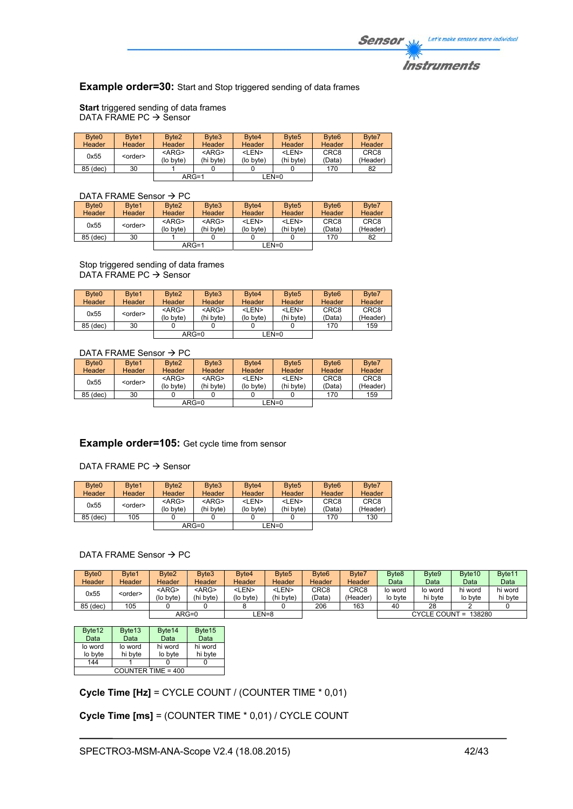### **Example order=30:** Start and Stop triggered sending of data frames

**Start** triggered sending of data frames DATA FRAME PC  $\rightarrow$  Sensor

| Byte <sub>0</sub><br>Header | Byte1<br>Header | Byte <sub>2</sub><br><b>Header</b> | Byte3<br>Header          | Byte4<br>Header           | Byte <sub>5</sub><br><b>Header</b> | Byte <sub>6</sub><br><b>Header</b> | Byte7<br>Header              |
|-----------------------------|-----------------|------------------------------------|--------------------------|---------------------------|------------------------------------|------------------------------------|------------------------------|
| 0x55                        | <order></order> | $<$ ARG><br>(lo byte)              | $<$ ARG $>$<br>(hi byte) | <len><br/>(lo byte)</len> | <len><br/>(hi byte)</len>          | CRC <sub>8</sub><br>(Data)         | CRC <sub>8</sub><br>(Header) |
| 85 (dec)                    | 30              |                                    |                          |                           |                                    | 170                                | 82                           |
|                             |                 | $ARG=1$                            |                          |                           | EN=0_                              |                                    |                              |

### DATA FRAME Sensor  $\rightarrow$  PC

| Byte <sub>0</sub> | Byte1           | Byte <sub>2</sub> | Byte3       | Byte4       | Byte <sub>5</sub> | Byte <sub>6</sub> | Byte7            |
|-------------------|-----------------|-------------------|-------------|-------------|-------------------|-------------------|------------------|
| Header            | <b>Header</b>   | <b>Header</b>     | Header      | Header      | <b>Header</b>     | <b>Header</b>     | <b>Header</b>    |
| 0x55              | <order></order> | $<$ ARG $>$       | $<$ ARG $>$ | <len></len> | <len></len>       | CRC <sub>8</sub>  | CRC <sub>8</sub> |
|                   |                 | (lo byte)         | (hi byte)   | (lo byte)   | (hi byte)         | (Data)            | (Header)         |
| 85 (dec)          | 30              |                   |             |             |                   | 170               | 82               |
|                   |                 | $ARG=1$           |             |             | $EN=0$            |                   |                  |
|                   |                 |                   |             |             |                   |                   |                  |

Stop triggered sending of data frames DATA FRAME PC  $\rightarrow$  Sensor

| Byte <sub>0</sub> | Byte1           | Byte <sub>2</sub> | Byte3         | Byte4         | Byte <sub>5</sub> | Byte <sub>6</sub> | Byte7            |
|-------------------|-----------------|-------------------|---------------|---------------|-------------------|-------------------|------------------|
| <b>Header</b>     | Header          | Header            | <b>Header</b> | <b>Header</b> | Header            | Header            | Header           |
| 0x55              | <order></order> | $<$ ARG>          | $<$ ARG $>$   | <len></len>   | <len></len>       | CRC <sub>8</sub>  | CRC <sub>8</sub> |
|                   |                 | (lo byte)         | (hi byte)     | (lo byte)     | (hi byte)         | (Data)            | (Header)         |
| 85 (dec)          | 30              |                   |               |               |                   | 170               | 159              |
|                   |                 |                   | $ARG=0$       |               | LEN=0             |                   |                  |

### DATA FRAME Sensor  $\rightarrow$  PC

| Byte <sub>0</sub> | Byte1           | Byte <sub>2</sub> | Byte3       | Byte4       | Byte <sub>5</sub> | Byte <sub>6</sub> | Byte7            |
|-------------------|-----------------|-------------------|-------------|-------------|-------------------|-------------------|------------------|
| <b>Header</b>     | Header          | <b>Header</b>     | Header      | Header      | <b>Header</b>     | Header            | Header           |
| 0x55              | <order></order> | $<$ ARG>          | $<$ ARG $>$ | <len></len> | <len></len>       | CRC <sub>8</sub>  | CRC <sub>8</sub> |
|                   |                 | (lo byte)         | (hi byte)   | (lo byte)   | (hi byte)         | (Data)            | (Header)         |
| 85 (dec)          | 30              |                   |             |             |                   | 170               | 159              |
|                   |                 |                   | $ARG=0$     |             | $EN=0$            |                   |                  |

### **Example order=105:** Get cycle time from sensor

#### DATA FRAME PC  $\rightarrow$  Sensor

| Byte <sub>0</sub><br>Header | Byte1<br>Header | Byte <sub>2</sub><br><b>Header</b> | Byte3<br>Header          | Byte4<br><b>Header</b>    | Byte <sub>5</sub><br><b>Header</b> | Byte <sub>6</sub><br>Header | Byte7<br>Header              |
|-----------------------------|-----------------|------------------------------------|--------------------------|---------------------------|------------------------------------|-----------------------------|------------------------------|
| 0x55                        | <order></order> | $<$ ARG $>$<br>(lo byte)           | $<$ ARG $>$<br>(hi byte) | <len><br/>(lo byte)</len> | <len><br/>(hi byte)</len>          | CRC <sub>8</sub><br>(Data)  | CRC <sub>8</sub><br>(Header) |
| 85 (dec)                    | 105             |                                    |                          |                           |                                    | 170                         | 130                          |
|                             |                 |                                    | $ARG=0$                  |                           | LEN=0                              |                             |                              |

### DATA FRAME Sensor  $\rightarrow$  PC

| Byte <sub>0</sub><br>Header | Byte1<br>Header | Byte <sub>2</sub><br>Header | Byte3<br><b>Header</b>   | Byte4<br>Header           | Byte <sub>5</sub><br>Header | Byte <sub>6</sub><br><b>Header</b> | Byte7<br>Header  | Byte <sub>8</sub><br>Data | Byte9<br>Data      | Byte <sub>10</sub><br>Data | Byte <sub>11</sub><br>Data |
|-----------------------------|-----------------|-----------------------------|--------------------------|---------------------------|-----------------------------|------------------------------------|------------------|---------------------------|--------------------|----------------------------|----------------------------|
|                             |                 |                             |                          |                           |                             |                                    |                  |                           |                    |                            |                            |
| 0x55                        | <order></order> | <arg><br/>(lo bvte)</arg>   | $<$ ARG $>$<br>(hi byte) | <len><br/>(lo byte)</len> | <len><br/>(hi byte)</len>   | CRC8<br>(Data`                     | CRC8<br>(Header) | lo word<br>lo byte        | lo word<br>hi byte | hi word<br>lo byte         | hi word<br>hi byte         |
| 85 (dec)                    | 105             |                             |                          |                           |                             | 206                                | 163              | 40                        | 28                 |                            |                            |
|                             |                 |                             | $ARG=0$                  | EN=8                      |                             |                                    |                  |                           |                    | CYCLE COUNT = 138280       |                            |

| Byte12             | Byte13  | Byte14  | Byte15  |  |  |  |  |
|--------------------|---------|---------|---------|--|--|--|--|
| Data               | Data    | Data    | Data    |  |  |  |  |
| lo word            | lo word | hi word | hi word |  |  |  |  |
| lo byte            | hi byte | lo byte | hi byte |  |  |  |  |
| 144                |         |         |         |  |  |  |  |
| COUNTER TIME = 400 |         |         |         |  |  |  |  |

**Cycle Time [Hz]** = CYCLE COUNT / (COUNTER TIME \* 0,01)

**Cycle Time [ms]** = (COUNTER TIME \* 0,01) / CYCLE COUNT